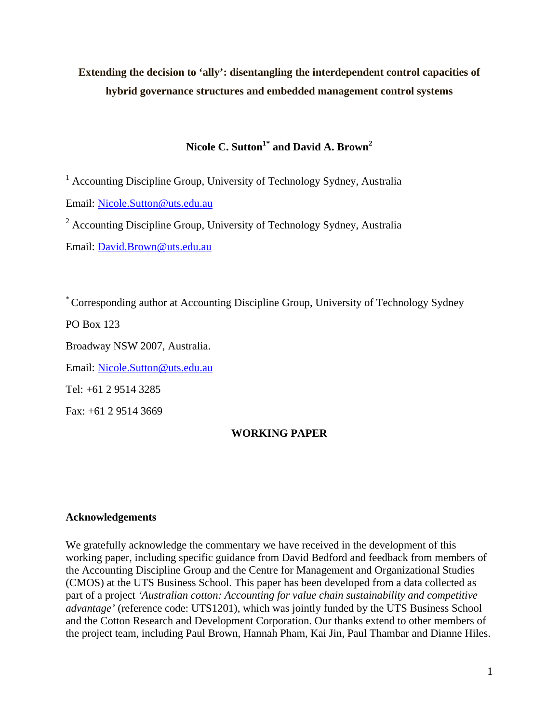# **Extending the decision to 'ally': disentangling the interdependent control capacities of hybrid governance structures and embedded management control systems**

# Nicole C. Sutton<sup>1\*</sup> and David A. Brown<sup>2</sup>

<sup>1</sup> Accounting Discipline Group, University of Technology Sydney, Australia

Email: [Nicole.Sutton@uts.edu.au](mailto:Nicole.Sutton@uts.edu.au)

<sup>2</sup> Accounting Discipline Group, University of Technology Sydney, Australia

Email: [David.Brown@uts.edu.au](mailto:David.Brown@uts.edu.au)

\* Corresponding author at Accounting Discipline Group, University of Technology Sydney

PO Box 123

Broadway NSW 2007, Australia.

Email: [Nicole.Sutton@uts.edu.au](mailto:David.Brown@uts.edu.au)

Tel: +61 2 9514 3285

Fax: +61 2 9514 3669

## **WORKING PAPER**

## **Acknowledgements**

We gratefully acknowledge the commentary we have received in the development of this working paper, including specific guidance from David Bedford and feedback from members of the Accounting Discipline Group and the Centre for Management and Organizational Studies (CMOS) at the UTS Business School. This paper has been developed from a data collected as part of a project *'Australian cotton: Accounting for value chain sustainability and competitive advantage'* (reference code: UTS1201), which was jointly funded by the UTS Business School and the Cotton Research and Development Corporation. Our thanks extend to other members of the project team, including Paul Brown, Hannah Pham, Kai Jin, Paul Thambar and Dianne Hiles.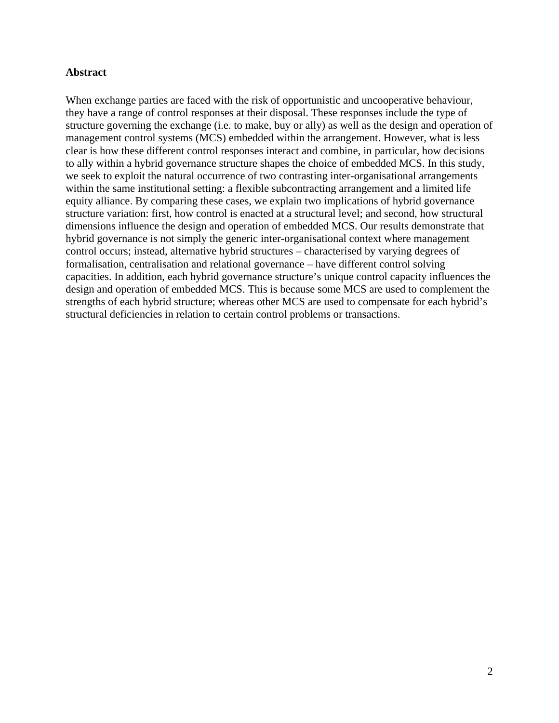## **Abstract**

When exchange parties are faced with the risk of opportunistic and uncooperative behaviour, they have a range of control responses at their disposal. These responses include the type of structure governing the exchange (i.e. to make, buy or ally) as well as the design and operation of management control systems (MCS) embedded within the arrangement. However, what is less clear is how these different control responses interact and combine, in particular, how decisions to ally within a hybrid governance structure shapes the choice of embedded MCS. In this study, we seek to exploit the natural occurrence of two contrasting inter-organisational arrangements within the same institutional setting: a flexible subcontracting arrangement and a limited life equity alliance. By comparing these cases, we explain two implications of hybrid governance structure variation: first, how control is enacted at a structural level; and second, how structural dimensions influence the design and operation of embedded MCS. Our results demonstrate that hybrid governance is not simply the generic inter-organisational context where management control occurs; instead, alternative hybrid structures – characterised by varying degrees of formalisation, centralisation and relational governance – have different control solving capacities. In addition, each hybrid governance structure's unique control capacity influences the design and operation of embedded MCS. This is because some MCS are used to complement the strengths of each hybrid structure; whereas other MCS are used to compensate for each hybrid's structural deficiencies in relation to certain control problems or transactions.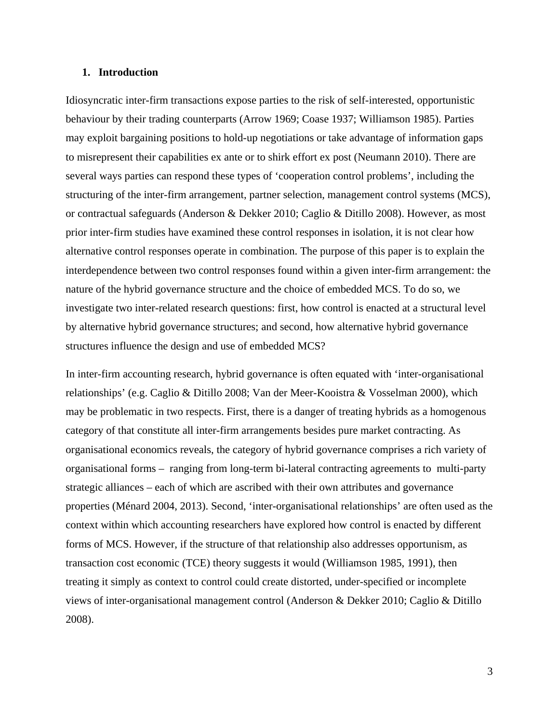## **1. Introduction**

Idiosyncratic inter-firm transactions expose parties to the risk of self-interested, opportunistic behaviour by their trading counterparts [\(Arrow 1969;](#page-32-0) [Coase 1937;](#page-32-1) [Williamson 1985\)](#page-35-0). Parties may exploit bargaining positions to hold-up negotiations or take advantage of information gaps to misrepresent their capabilities ex ante or to shirk effort ex post [\(Neumann 2010\)](#page-34-0). There are several ways parties can respond these types of 'cooperation control problems', including the structuring of the inter-firm arrangement, partner selection, management control systems (MCS), or contractual safeguards [\(Anderson & Dekker 2010;](#page-32-0) [Caglio & Ditillo 2008\)](#page-32-2). However, as most prior inter-firm studies have examined these control responses in isolation, it is not clear how alternative control responses operate in combination. The purpose of this paper is to explain the interdependence between two control responses found within a given inter-firm arrangement: the nature of the hybrid governance structure and the choice of embedded MCS. To do so, we investigate two inter-related research questions: first, how control is enacted at a structural level by alternative hybrid governance structures; and second, how alternative hybrid governance structures influence the design and use of embedded MCS?

In inter-firm accounting research, hybrid governance is often equated with 'inter-organisational relationships' (e.g. [Caglio & Ditillo 2008;](#page-32-2) [Van der Meer-Kooistra & Vosselman 2000\)](#page-35-1), which may be problematic in two respects. First, there is a danger of treating hybrids as a homogenous category of that constitute all inter-firm arrangements besides pure market contracting. As organisational economics reveals, the category of hybrid governance comprises a rich variety of organisational forms – ranging from long-term bi-lateral contracting agreements to multi-party strategic alliances – each of which are ascribed with their own attributes and governance properties [\(Ménard 2004,](#page-34-1) [2013\)](#page-34-2). Second, 'inter-organisational relationships' are often used as the context within which accounting researchers have explored how control is enacted by different forms of MCS. However, if the structure of that relationship also addresses opportunism, as transaction cost economic (TCE) theory suggests it would [\(Williamson 1985,](#page-35-0) [1991\)](#page-35-2), then treating it simply as context to control could create distorted, under-specified or incomplete views of inter-organisational management control [\(Anderson & Dekker 2010;](#page-32-0) [Caglio & Ditillo](#page-32-2)  [2008\)](#page-32-2).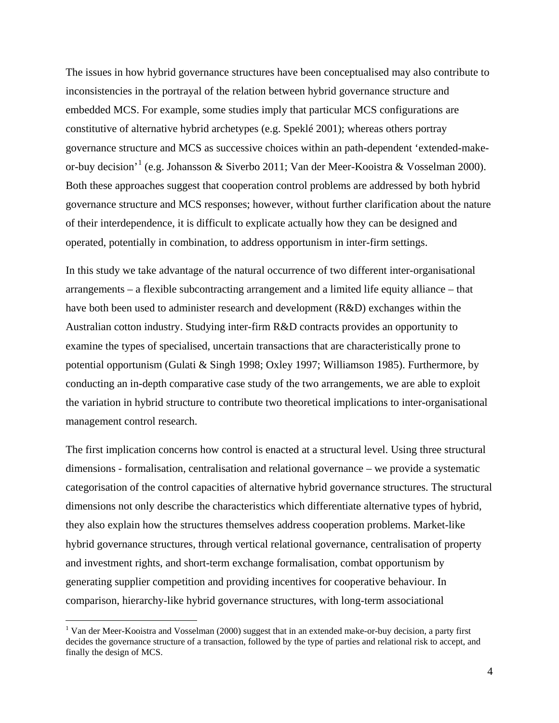The issues in how hybrid governance structures have been conceptualised may also contribute to inconsistencies in the portrayal of the relation between hybrid governance structure and embedded MCS. For example, some studies imply that particular MCS configurations are constitutive of alternative hybrid archetypes (e.g. [Speklé 2001\)](#page-35-3); whereas others portray governance structure and MCS as successive choices within an path-dependent 'extended-makeor-buy decision'[1](#page-3-0) (e.g. [Johansson & Siverbo 2011;](#page-33-0) [Van der Meer-Kooistra & Vosselman 2000\)](#page-35-1). Both these approaches suggest that cooperation control problems are addressed by both hybrid governance structure and MCS responses; however, without further clarification about the nature of their interdependence, it is difficult to explicate actually how they can be designed and operated, potentially in combination, to address opportunism in inter-firm settings.

In this study we take advantage of the natural occurrence of two different inter-organisational arrangements – a flexible subcontracting arrangement and a limited life equity alliance – that have both been used to administer research and development (R&D) exchanges within the Australian cotton industry. Studying inter-firm R&D contracts provides an opportunity to examine the types of specialised, uncertain transactions that are characteristically prone to potential opportunism [\(Gulati & Singh 1998;](#page-33-1) [Oxley 1997;](#page-34-3) [Williamson 1985\)](#page-35-0). Furthermore, by conducting an in-depth comparative case study of the two arrangements, we are able to exploit the variation in hybrid structure to contribute two theoretical implications to inter-organisational management control research.

The first implication concerns how control is enacted at a structural level. Using three structural dimensions - formalisation, centralisation and relational governance – we provide a systematic categorisation of the control capacities of alternative hybrid governance structures. The structural dimensions not only describe the characteristics which differentiate alternative types of hybrid, they also explain how the structures themselves address cooperation problems. Market-like hybrid governance structures, through vertical relational governance, centralisation of property and investment rights, and short-term exchange formalisation, combat opportunism by generating supplier competition and providing incentives for cooperative behaviour. In comparison, hierarchy-like hybrid governance structures, with long-term associational

<span id="page-3-0"></span><sup>&</sup>lt;sup>1</sup> [Van der Meer-Kooistra and Vosselman \(2000\)](#page-35-1) suggest that in an extended make-or-buy decision, a party first decides the governance structure of a transaction, followed by the type of parties and relational risk to accept, and finally the design of MCS.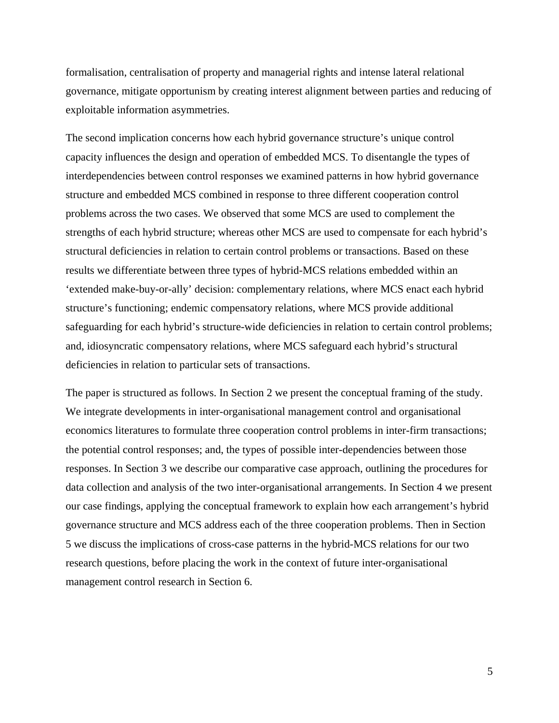formalisation, centralisation of property and managerial rights and intense lateral relational governance, mitigate opportunism by creating interest alignment between parties and reducing of exploitable information asymmetries.

The second implication concerns how each hybrid governance structure's unique control capacity influences the design and operation of embedded MCS. To disentangle the types of interdependencies between control responses we examined patterns in how hybrid governance structure and embedded MCS combined in response to three different cooperation control problems across the two cases. We observed that some MCS are used to complement the strengths of each hybrid structure; whereas other MCS are used to compensate for each hybrid's structural deficiencies in relation to certain control problems or transactions. Based on these results we differentiate between three types of hybrid-MCS relations embedded within an 'extended make-buy-or-ally' decision: complementary relations, where MCS enact each hybrid structure's functioning; endemic compensatory relations, where MCS provide additional safeguarding for each hybrid's structure-wide deficiencies in relation to certain control problems; and, idiosyncratic compensatory relations, where MCS safeguard each hybrid's structural deficiencies in relation to particular sets of transactions.

The paper is structured as follows. In Section 2 we present the conceptual framing of the study. We integrate developments in inter-organisational management control and organisational economics literatures to formulate three cooperation control problems in inter-firm transactions; the potential control responses; and, the types of possible inter-dependencies between those responses. In Section 3 we describe our comparative case approach, outlining the procedures for data collection and analysis of the two inter-organisational arrangements. In Section 4 we present our case findings, applying the conceptual framework to explain how each arrangement's hybrid governance structure and MCS address each of the three cooperation problems. Then in Section 5 we discuss the implications of cross-case patterns in the hybrid-MCS relations for our two research questions, before placing the work in the context of future inter-organisational management control research in Section 6.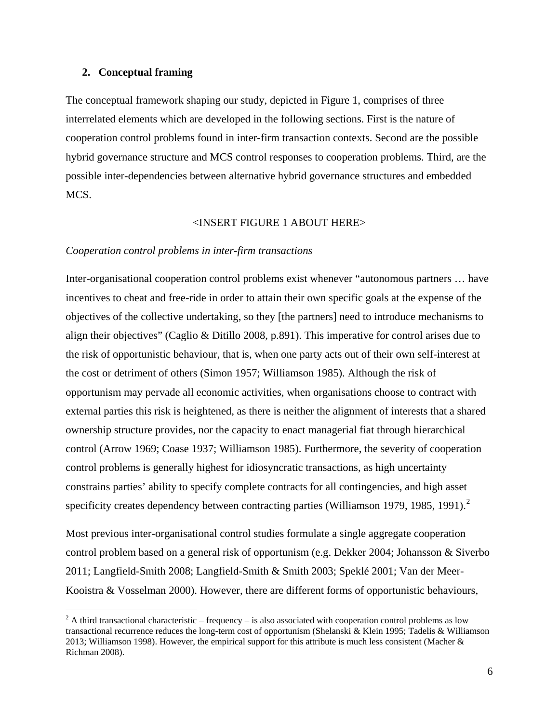## **2. Conceptual framing**

The conceptual framework shaping our study, depicted in [Figure 1,](#page-36-0) comprises of three interrelated elements which are developed in the following sections. First is the nature of cooperation control problems found in inter-firm transaction contexts. Second are the possible hybrid governance structure and MCS control responses to cooperation problems. Third, are the possible inter-dependencies between alternative hybrid governance structures and embedded MCS.

## <INSERT FIGURE 1 ABOUT HERE>

## *Cooperation control problems in inter-firm transactions*

Inter-organisational cooperation control problems exist whenever "autonomous partners … have incentives to cheat and free-ride in order to attain their own specific goals at the expense of the objectives of the collective undertaking, so they [the partners] need to introduce mechanisms to align their objectives" [\(Caglio & Ditillo 2008,](#page-32-2) p.891). This imperative for control arises due to the risk of opportunistic behaviour, that is, when one party acts out of their own self-interest at the cost or detriment of others [\(Simon 1957;](#page-35-4) [Williamson 1985\)](#page-35-0). Although the risk of opportunism may pervade all economic activities, when organisations choose to contract with external parties this risk is heightened, as there is neither the alignment of interests that a shared ownership structure provides, nor the capacity to enact managerial fiat through hierarchical control [\(Arrow 1969;](#page-32-0) [Coase 1937;](#page-32-1) [Williamson 1985\)](#page-35-0). Furthermore, the severity of cooperation control problems is generally highest for idiosyncratic transactions, as high uncertainty constrains parties' ability to specify complete contracts for all contingencies, and high asset specificity creates dependency between contracting parties [\(Williamson 1979,](#page-35-5) [1985,](#page-35-0) [1991\)](#page-35-2).<sup>[2](#page-5-0)</sup>

Most previous inter-organisational control studies formulate a single aggregate cooperation control problem based on a general risk of opportunism (e.g. [Dekker 2004;](#page-32-3) [Johansson & Siverbo](#page-33-0)  [2011;](#page-33-0) [Langfield-Smith 2008;](#page-33-2) [Langfield-Smith & Smith 2003;](#page-33-3) [Speklé 2001;](#page-35-3) [Van der Meer-](#page-35-1)[Kooistra & Vosselman 2000\)](#page-35-1). However, there are different forms of opportunistic behaviours,

<span id="page-5-0"></span><sup>&</sup>lt;sup>2</sup> A third transactional characteristic – frequency – is also associated with cooperation control problems as low transactional recurrence reduces the long-term cost of opportunism [\(Shelanski & Klein 1995;](#page-35-6) Tadelis [& Williamson](#page-35-7)  [2013;](#page-35-7) [Williamson 1998\)](#page-35-8). However, the empirical support for this attribute is much less consistent [\(Macher &](#page-34-4)  Richman 2008).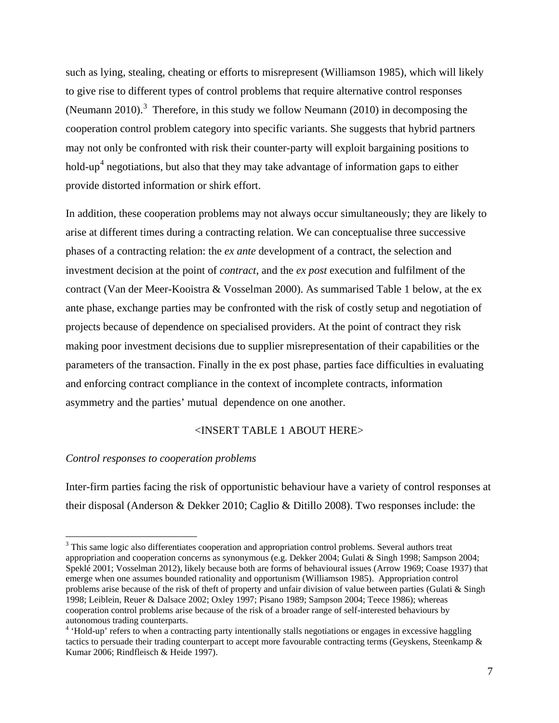such as lying, stealing, cheating or efforts to misrepresent [\(Williamson 1985\)](#page-35-0), which will likely to give rise to different types of control problems that require alternative control responses [\(Neumann 2010\)](#page-34-0).<sup>[3](#page-6-0)</sup> Therefore, in this study we follow [Neumann \(2010\)](#page-34-0) in decomposing the cooperation control problem category into specific variants. She suggests that hybrid partners may not only be confronted with risk their counter-party will exploit bargaining positions to hold-up<sup>[4](#page-6-1)</sup> negotiations, but also that they may take advantage of information gaps to either provide distorted information or shirk effort.

In addition, these cooperation problems may not always occur simultaneously; they are likely to arise at different times during a contracting relation. We can conceptualise three successive phases of a contracting relation: the *ex ante* development of a contract, the selection and investment decision at the point of *contract*, and the *ex post* execution and fulfilment of the contract [\(Van der Meer-Kooistra & Vosselman 2000\)](#page-35-1). As summarised Table 1 below, at the ex ante phase, exchange parties may be confronted with the risk of costly setup and negotiation of projects because of dependence on specialised providers. At the point of contract they risk making poor investment decisions due to supplier misrepresentation of their capabilities or the parameters of the transaction. Finally in the ex post phase, parties face difficulties in evaluating and enforcing contract compliance in the context of incomplete contracts, information asymmetry and the parties' mutual dependence on one another.

## <INSERT TABLE 1 ABOUT HERE>

## *Control responses to cooperation problems*

Inter-firm parties facing the risk of opportunistic behaviour have a variety of control responses at their disposal [\(Anderson & Dekker 2010;](#page-32-0) [Caglio & Ditillo 2008\)](#page-32-2). Two responses include: the

<span id="page-6-0"></span><sup>&</sup>lt;sup>3</sup> This same logic also differentiates cooperation and appropriation control problems. Several authors treat appropriation and cooperation concerns as synonymous (e.g. [Dekker 2004;](#page-32-3) [Gulati & Singh 1998;](#page-33-1) [Sampson 2004;](#page-35-9) [Speklé 2001;](#page-35-3) [Vosselman 2012\)](#page-35-10), likely because both are forms of behavioural issues [\(Arrow 1969;](#page-32-4) [Coase 1937\)](#page-32-5) that emerge when one assumes bounded rationality and opportunism [\(Williamson 1985\)](#page-35-0). Appropriation control problems arise because of the risk of theft of property and unfair division of value between parties [\(Gulati & Singh](#page-33-1)  [1998;](#page-33-1) [Leiblein, Reuer & Dalsace 2002;](#page-33-4) [Oxley 1997;](#page-34-3) [Pisano 1989;](#page-34-5) [Sampson 2004;](#page-35-9) [Teece 1986\)](#page-35-11); whereas cooperation control problems arise because of the risk of a broader range of self-interested behaviours by autonomous trading counterparts.<br><sup>4</sup> 'Hold-up' refers to when a contracting party intentionally stalls negotiations or engages in excessive haggling

<span id="page-6-1"></span>tactics to persuade their trading counterpart to accept more favourable contracting terms [\(Geyskens, Steenkamp &](#page-33-5)  [Kumar 2006;](#page-33-5) [Rindfleisch & Heide 1997\)](#page-34-6).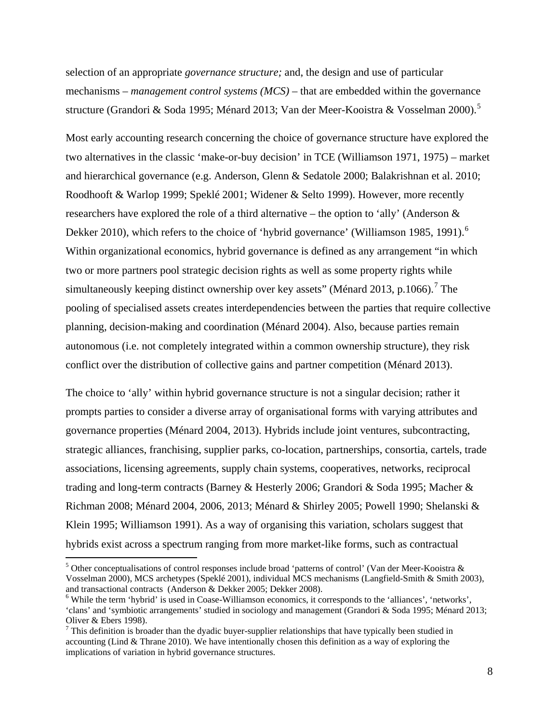selection of an appropriate *governance structure;* and, the design and use of particular mechanisms – *management control systems (MCS)* – that are embedded within the governance structure [\(Grandori & Soda 1995;](#page-33-6) [Ménard 2013;](#page-34-2) [Van der Meer-Kooistra & Vosselman 2000\)](#page-35-1).<sup>[5](#page-7-0)</sup>

Most early accounting research concerning the choice of governance structure have explored the two alternatives in the classic 'make-or-buy decision' in TCE [\(Williamson 1971,](#page-35-12) [1975\)](#page-35-13) – market and hierarchical governance (e.g. [Anderson, Glenn & Sedatole 2000;](#page-32-6) [Balakrishnan et al. 2010;](#page-32-7) [Roodhooft & Warlop 1999;](#page-34-7) [Speklé 2001;](#page-35-3) [Widener & Selto 1999\)](#page-35-14). However, more recently researchers have explored the role of a third alternative – the option to 'ally' [\(Anderson &](#page-32-0)  Dekker 2010), which refers to the choice of 'hybrid governance' [\(Williamson 1985,](#page-35-0) [1991\)](#page-35-2).<sup>[6](#page-7-1)</sup> Within organizational economics, hybrid governance is defined as any arrangement "in which two or more partners pool strategic decision rights as well as some property rights while simultaneously keeping distinct ownership over key assets" [\(Ménard 2013,](#page-34-2) p.1066).<sup>[7](#page-7-2)</sup> The pooling of specialised assets creates interdependencies between the parties that require collective planning, decision-making and coordination [\(Ménard 2004\)](#page-34-1). Also, because parties remain autonomous (i.e. not completely integrated within a common ownership structure), they risk conflict over the distribution of collective gains and partner competition [\(Ménard 2013\)](#page-34-2).

The choice to 'ally' within hybrid governance structure is not a singular decision; rather it prompts parties to consider a diverse array of organisational forms with varying attributes and governance properties [\(Ménard 2004,](#page-34-1) [2013\)](#page-34-2). Hybrids include joint ventures, subcontracting, strategic alliances, franchising, supplier parks, co-location, partnerships, consortia, cartels, trade associations, licensing agreements, supply chain systems, cooperatives, networks, reciprocal trading and long-term contracts [\(Barney & Hesterly 2006;](#page-32-8) [Grandori & Soda 1995;](#page-33-6) [Macher &](#page-34-4)  [Richman 2008;](#page-34-4) [Ménard 2004,](#page-34-1) [2006,](#page-34-8) [2013;](#page-34-2) [Ménard & Shirley 2005;](#page-34-9) [Powell 1990;](#page-34-10) [Shelanski &](#page-35-6)  [Klein 1995;](#page-35-6) [Williamson 1991\)](#page-35-2). As a way of organising this variation, scholars suggest that hybrids exist across a spectrum ranging from more market-like forms, such as contractual

<span id="page-7-0"></span> $5$  Other conceptualisations of control responses include broad 'patterns of control' (Van der Meer-Kooistra  $\&$ Vosselman 2000), MCS archetypes [\(Speklé 2001\)](#page-35-3), individual MCS mechanisms [\(Langfield-Smith & Smith 2003\)](#page-33-3),

<span id="page-7-1"></span><sup>&</sup>lt;sup>6</sup> While the term 'hybrid' is used in Coase-Williamson economics, it corresponds to the 'alliances', 'networks', 'clans' and 'symbiotic arrangements' studied in sociology and management [\(Grandori & Soda 1995;](#page-33-6) [Ménard 2013;](#page-34-2) [Oliver & Ebers 1998\)](#page-34-11).<br><sup>7</sup> This definition is broader than the dyadic buyer-supplier relationships that have typically been studied in

<span id="page-7-2"></span>accounting [\(Lind & Thrane 2010\)](#page-33-7). We have intentionally chosen this definition as a way of exploring the implications of variation in hybrid governance structures.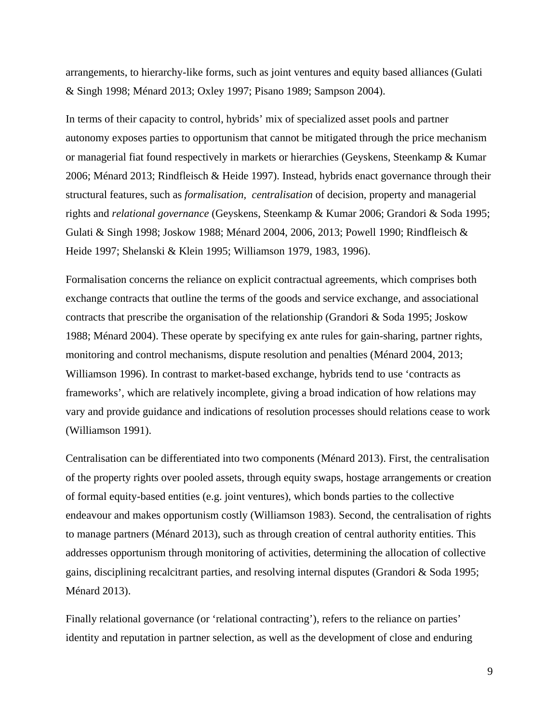arrangements, to hierarchy-like forms, such as joint ventures and equity based alliances [\(Gulati](#page-33-1)  [& Singh 1998;](#page-33-1) [Ménard 2013;](#page-34-2) [Oxley 1997;](#page-34-3) [Pisano 1989;](#page-34-5) [Sampson 2004\)](#page-35-9).

In terms of their capacity to control, hybrids' mix of specialized asset pools and partner autonomy exposes parties to opportunism that cannot be mitigated through the price mechanism or managerial fiat found respectively in markets or hierarchies [\(Geyskens, Steenkamp & Kumar](#page-33-5)  [2006;](#page-33-5) [Ménard 2013;](#page-34-2) [Rindfleisch & Heide 1997\)](#page-34-6). Instead, hybrids enact governance through their structural features, such as *formalisation, centralisation* of decision, property and managerial rights and *relational governance* [\(Geyskens, Steenkamp & Kumar 2006;](#page-33-5) [Grandori & Soda 1995;](#page-33-6) [Gulati & Singh 1998;](#page-33-1) [Joskow 1988;](#page-33-8) [Ménard 2004,](#page-34-1) [2006,](#page-34-8) [2013;](#page-34-2) [Powell 1990;](#page-34-10) [Rindfleisch &](#page-34-6)  [Heide 1997;](#page-34-6) [Shelanski & Klein 1995;](#page-35-6) [Williamson 1979,](#page-35-5) [1983,](#page-35-15) [1996\)](#page-35-16).

Formalisation concerns the reliance on explicit contractual agreements, which comprises both exchange contracts that outline the terms of the goods and service exchange, and associational contracts that prescribe the organisation of the relationship [\(Grandori & Soda 1995;](#page-33-6) [Joskow](#page-33-8)  [1988;](#page-33-8) [Ménard 2004\)](#page-34-1). These operate by specifying ex ante rules for gain-sharing, partner rights, monitoring and control mechanisms, dispute resolution and penalties [\(Ménard 2004,](#page-34-1) [2013;](#page-34-2) [Williamson 1996\)](#page-35-16). In contrast to market-based exchange, hybrids tend to use 'contracts as frameworks', which are relatively incomplete, giving a broad indication of how relations may vary and provide guidance and indications of resolution processes should relations cease to work (Williamson 1991).

Centralisation can be differentiated into two components [\(Ménard 2013\)](#page-34-2). First, the centralisation of the property rights over pooled assets, through equity swaps, hostage arrangements or creation of formal equity-based entities (e.g. joint ventures), which bonds parties to the collective endeavour and makes opportunism costly [\(Williamson 1983\)](#page-35-15). Second, the centralisation of rights to manage partners [\(Ménard 2013\)](#page-34-2), such as through creation of central authority entities. This addresses opportunism through monitoring of activities, determining the allocation of collective gains, disciplining recalcitrant parties, and resolving internal disputes [\(Grandori & Soda 1995;](#page-33-6) [Ménard 2013\)](#page-34-2).

Finally relational governance (or 'relational contracting'), refers to the reliance on parties' identity and reputation in partner selection, as well as the development of close and enduring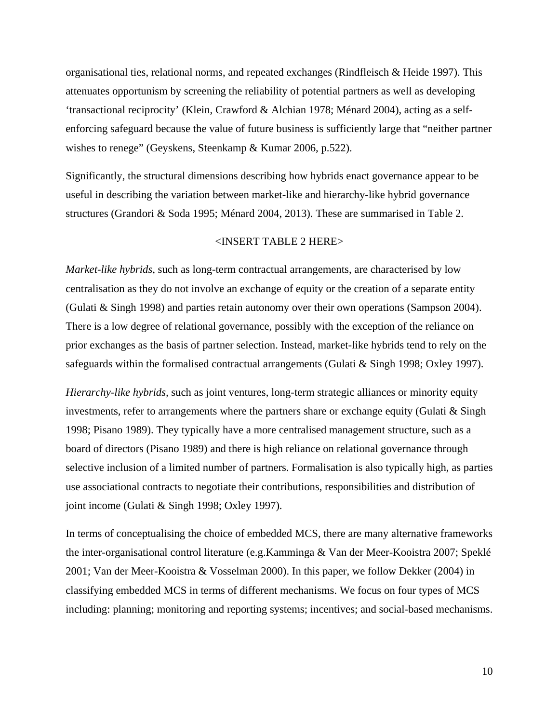organisational ties, relational norms, and repeated exchanges [\(Rindfleisch & Heide 1997\)](#page-34-6). This attenuates opportunism by screening the reliability of potential partners as well as developing 'transactional reciprocity' [\(Klein, Crawford & Alchian 1978;](#page-33-9) [Ménard 2004\)](#page-34-1), acting as a selfenforcing safeguard because the value of future business is sufficiently large that "neither partner wishes to renege" [\(Geyskens, Steenkamp & Kumar 2006,](#page-33-5) p.522).

Significantly, the structural dimensions describing how hybrids enact governance appear to be useful in describing the variation between market-like and hierarchy-like hybrid governance structures [\(Grandori & Soda 1995;](#page-33-6) [Ménard 2004,](#page-34-1) [2013\)](#page-34-2). These are summarised in Table 2.

## <INSERT TABLE 2 HERE>

*Market-like hybrids*, such as long-term contractual arrangements, are characterised by low centralisation as they do not involve an exchange of equity or the creation of a separate entity [\(Gulati & Singh 1998\)](#page-33-1) and parties retain autonomy over their own operations [\(Sampson 2004\)](#page-35-9). There is a low degree of relational governance, possibly with the exception of the reliance on prior exchanges as the basis of partner selection. Instead, market-like hybrids tend to rely on the safeguards within the formalised contractual arrangements [\(Gulati & Singh 1998;](#page-33-1) [Oxley 1997\)](#page-34-3).

*Hierarchy-like hybrids,* such as joint ventures, long-term strategic alliances or minority equity investments, refer to arrangements where the partners share or exchange equity [\(Gulati & Singh](#page-33-1)  [1998;](#page-33-1) [Pisano 1989\)](#page-34-5). They typically have a more centralised management structure, such as a board of directors [\(Pisano 1989\)](#page-34-5) and there is high reliance on relational governance through selective inclusion of a limited number of partners. Formalisation is also typically high, as parties use associational contracts to negotiate their contributions, responsibilities and distribution of joint income [\(Gulati & Singh 1998;](#page-33-1) [Oxley 1997\)](#page-34-3).

In terms of conceptualising the choice of embedded MCS, there are many alternative frameworks the inter-organisational control literature (e.g[.Kamminga & Van der Meer-Kooistra 2007;](#page-33-10) [Speklé](#page-35-3)  [2001;](#page-35-3) [Van der Meer-Kooistra & Vosselman 2000\)](#page-35-1). In this paper, we follow [Dekker \(2004\)](#page-32-3) in classifying embedded MCS in terms of different mechanisms. We focus on four types of MCS including: planning; monitoring and reporting systems; incentives; and social-based mechanisms.

10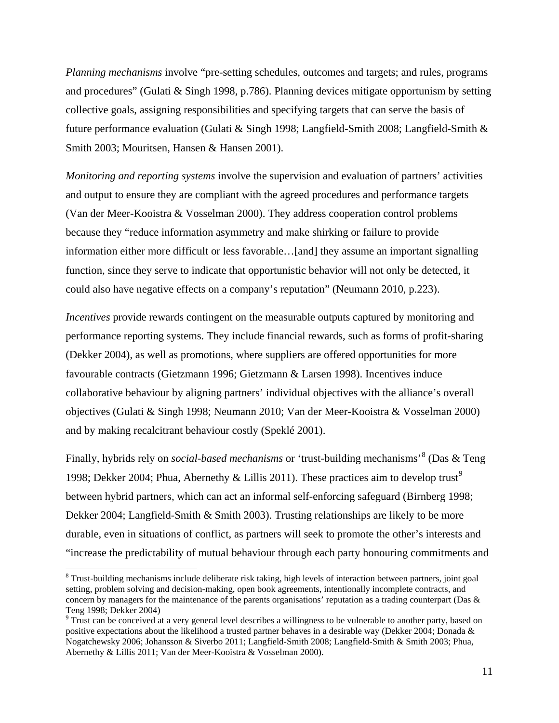*Planning mechanisms* involve "pre-setting schedules, outcomes and targets; and rules, programs and procedures" [\(Gulati & Singh 1998,](#page-33-1) p.786). Planning devices mitigate opportunism by setting collective goals, assigning responsibilities and specifying targets that can serve the basis of future performance evaluation [\(Gulati & Singh 1998;](#page-33-1) [Langfield-Smith 2008;](#page-33-2) [Langfield-Smith &](#page-33-3)  [Smith 2003;](#page-33-3) [Mouritsen, Hansen & Hansen 2001\)](#page-34-12).

*Monitoring and reporting systems* involve the supervision and evaluation of partners' activities and output to ensure they are compliant with the agreed procedures and performance targets [\(Van der Meer-Kooistra & Vosselman 2000\)](#page-35-1). They address cooperation control problems because they "reduce information asymmetry and make shirking or failure to provide information either more difficult or less favorable…[and] they assume an important signalling function, since they serve to indicate that opportunistic behavior will not only be detected, it could also have negative effects on a company's reputation" [\(Neumann 2010,](#page-34-0) p.223).

*Incentives* provide rewards contingent on the measurable outputs captured by monitoring and performance reporting systems. They include financial rewards, such as forms of profit-sharing [\(Dekker 2004\)](#page-32-3), as well as promotions, where suppliers are offered opportunities for more favourable contracts [\(Gietzmann 1996;](#page-33-11) [Gietzmann & Larsen 1998\)](#page-33-12). Incentives induce collaborative behaviour by aligning partners' individual objectives with the alliance's overall objectives [\(Gulati & Singh 1998;](#page-33-1) [Neumann 2010;](#page-34-0) [Van der Meer-Kooistra & Vosselman 2000\)](#page-35-1) and by making recalcitrant behaviour costly [\(Speklé 2001\)](#page-35-3).

Finally, hybrids rely on *social-based mechanisms* or 'trust-building mechanisms'[8](#page-10-0) [\(Das & Teng](#page-32-11)  [1998;](#page-32-11) [Dekker 2004;](#page-32-3) [Phua, Abernethy & Lillis 2011\)](#page-34-13). These practices aim to develop trust<sup>[9](#page-10-1)</sup> between hybrid partners, which can act an informal self-enforcing safeguard [\(Birnberg 1998;](#page-32-1) [Dekker 2004;](#page-32-3) [Langfield-Smith & Smith 2003\)](#page-33-3). Trusting relationships are likely to be more durable, even in situations of conflict, as partners will seek to promote the other's interests and "increase the predictability of mutual behaviour through each party honouring commitments and

<span id="page-10-0"></span><sup>&</sup>lt;sup>8</sup> Trust-building mechanisms include deliberate risk taking, high levels of interaction between partners, joint goal setting, problem solving and decision-making, open book agreements, intentionally incomplete contracts, and concern by managers for the maintenance of the parents organisations' reputation as a trading counterpart (Das  $\&$ 

<span id="page-10-1"></span>[Teng 1998;](#page-32-11) [Dekker 2004\)](#page-32-3)<br><sup>9</sup> Trust can be conceived at a very general level describes a willingness to be vulnerable to another party, based on positive expectations about the likelihood a trusted partner behaves in a desirable way [\(Dekker 2004;](#page-32-3) [Donada &](#page-32-12)  [Nogatchewsky 2006;](#page-32-12) [Johansson & Siverbo 2011;](#page-33-0) [Langfield-Smith 2008;](#page-33-2) [Langfield-Smith & Smith 2003;](#page-33-3) [Phua,](#page-34-13)  [Abernethy & Lillis 2011;](#page-34-13) [Van der Meer-Kooistra & Vosselman 2000\)](#page-35-1).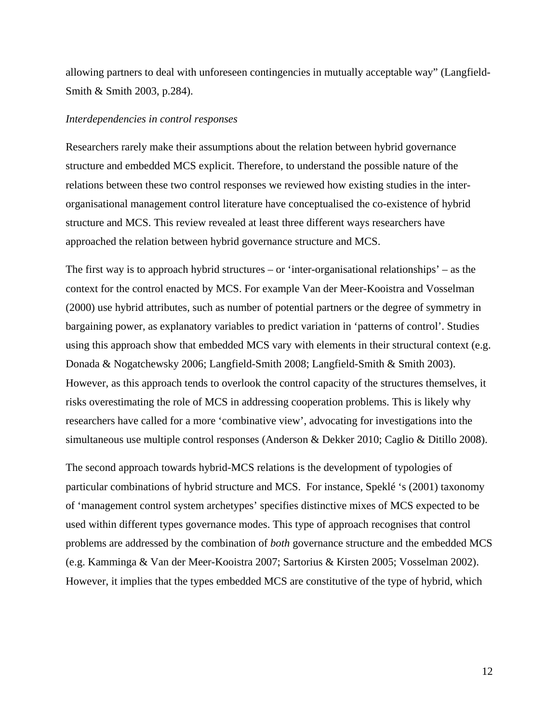allowing partners to deal with unforeseen contingencies in mutually acceptable way" [\(Langfield-](#page-33-3)Smith & Smith 2003, p.284).

#### *Interdependencies in control responses*

Researchers rarely make their assumptions about the relation between hybrid governance structure and embedded MCS explicit. Therefore, to understand the possible nature of the relations between these two control responses we reviewed how existing studies in the interorganisational management control literature have conceptualised the co-existence of hybrid structure and MCS. This review revealed at least three different ways researchers have approached the relation between hybrid governance structure and MCS.

The first way is to approach hybrid structures – or 'inter-organisational relationships' – as the context for the control enacted by MCS. For example [Van der Meer-Kooistra and Vosselman](#page-35-1)  (2000) use hybrid attributes, such as number of potential partners or the degree of symmetry in bargaining power, as explanatory variables to predict variation in 'patterns of control'. Studies using this approach show that embedded MCS vary with elements in their structural context (e.g. [Donada & Nogatchewsky 2006;](#page-32-12) [Langfield-Smith 2008;](#page-33-2) [Langfield-Smith & Smith 2003\)](#page-33-3). However, as this approach tends to overlook the control capacity of the structures themselves, it risks overestimating the role of MCS in addressing cooperation problems. This is likely why researchers have called for a more 'combinative view', advocating for investigations into the simultaneous use multiple control responses [\(Anderson & Dekker 2010;](#page-32-0) [Caglio & Ditillo 2008\)](#page-32-2).

The second approach towards hybrid-MCS relations is the development of typologies of particular combinations of hybrid structure and MCS. For instance, [Speklé '](#page-35-3)s (2001) taxonomy of 'management control system archetypes' specifies distinctive mixes of MCS expected to be used within different types governance modes. This type of approach recognises that control problems are addressed by the combination of *both* governance structure and the embedded MCS (e.g. [Kamminga & Van der Meer-Kooistra 2007;](#page-33-10) [Sartorius & Kirsten 2005;](#page-35-17) [Vosselman 2002\)](#page-35-18). However, it implies that the types embedded MCS are constitutive of the type of hybrid, which

12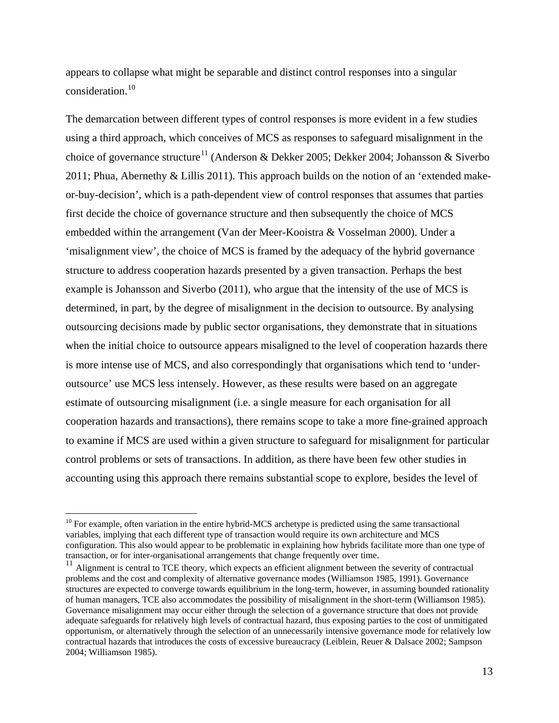appears to collapse what might be separable and distinct control responses into a singular consideration.[10](#page-12-0)

The demarcation between different types of control responses is more evident in a few studies using a third approach, which conceives of MCS as responses to safeguard misalignment in the choice of governance structure<sup>[11](#page-12-1)</sup> [\(Anderson & Dekker 2005;](#page-32-9) [Dekker 2004;](#page-32-3) Johansson & Siverbo [2011;](#page-33-0) [Phua, Abernethy & Lillis 2011\)](#page-34-13). This approach builds on the notion of an 'extended makeor-buy-decision', which is a path-dependent view of control responses that assumes that parties first decide the choice of governance structure and then subsequently the choice of MCS embedded within the arrangement [\(Van der Meer-Kooistra & Vosselman 2000\)](#page-35-1). Under a 'misalignment view', the choice of MCS is framed by the adequacy of the hybrid governance structure to address cooperation hazards presented by a given transaction. Perhaps the best example is [Johansson and Siverbo \(2011\),](#page-33-0) who argue that the intensity of the use of MCS is determined, in part, by the degree of misalignment in the decision to outsource. By analysing outsourcing decisions made by public sector organisations, they demonstrate that in situations when the initial choice to outsource appears misaligned to the level of cooperation hazards there is more intense use of MCS, and also correspondingly that organisations which tend to 'underoutsource' use MCS less intensely. However, as these results were based on an aggregate estimate of outsourcing misalignment (i.e. a single measure for each organisation for all cooperation hazards and transactions), there remains scope to take a more fine-grained approach to examine if MCS are used within a given structure to safeguard for misalignment for particular control problems or sets of transactions. In addition, as there have been few other studies in accounting using this approach there remains substantial scope to explore, besides the level of

<span id="page-12-0"></span> $10$  For example, often variation in the entire hybrid-MCS archetype is predicted using the same transactional variables, implying that each different type of transaction would require its own architecture and MCS configuration. This also would appear to be problematic in explaining how hybrids facilitate more than one type of

<span id="page-12-1"></span>transaction, or for inter-organisational arrangements that change frequently over time.<br><sup>11</sup> Alignment is central to TCE theory, which expects an efficient alignment between the severity of contractual problems and the cost and complexity of alternative governance modes [\(Williamson 1985,](#page-35-0) [1991\)](#page-35-2). Governance structures are expected to converge towards equilibrium in the long-term, however, in assuming bounded rationality of human managers, TCE also accommodates the possibility of misalignment in the short-term [\(Williamson 1985\)](#page-35-0). Governance misalignment may occur either through the selection of a governance structure that does not provide adequate safeguards for relatively high levels of contractual hazard, thus exposing parties to the cost of unmitigated opportunism, or alternatively through the selection of an unnecessarily intensive governance mode for relatively low contractual hazards that introduces the costs of excessive bureaucracy [\(Leiblein, Reuer & Dalsace 2002;](#page-33-4) [Sampson](#page-35-9)  [2004;](#page-35-9) [Williamson 1985\)](#page-35-0).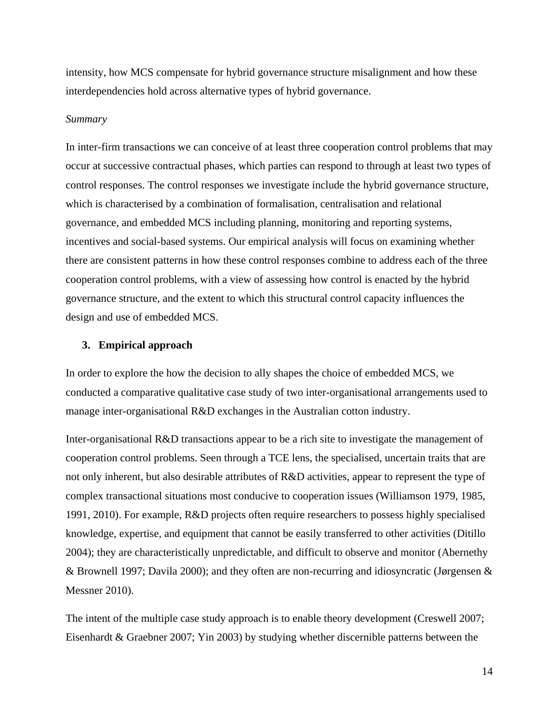intensity, how MCS compensate for hybrid governance structure misalignment and how these interdependencies hold across alternative types of hybrid governance.

#### *Summary*

In inter-firm transactions we can conceive of at least three cooperation control problems that may occur at successive contractual phases, which parties can respond to through at least two types of control responses. The control responses we investigate include the hybrid governance structure, which is characterised by a combination of formalisation, centralisation and relational governance, and embedded MCS including planning, monitoring and reporting systems, incentives and social-based systems. Our empirical analysis will focus on examining whether there are consistent patterns in how these control responses combine to address each of the three cooperation control problems, with a view of assessing how control is enacted by the hybrid governance structure, and the extent to which this structural control capacity influences the design and use of embedded MCS.

## **3. Empirical approach**

In order to explore the how the decision to ally shapes the choice of embedded MCS, we conducted a comparative qualitative case study of two inter-organisational arrangements used to manage inter-organisational R&D exchanges in the Australian cotton industry.

Inter-organisational R&D transactions appear to be a rich site to investigate the management of cooperation control problems. Seen through a TCE lens, the specialised, uncertain traits that are not only inherent, but also desirable attributes of R&D activities, appear to represent the type of complex transactional situations most conducive to cooperation issues [\(Williamson 1979,](#page-35-5) [1985,](#page-35-0) [1991,](#page-35-2) [2010\)](#page-35-19). For example, R&D projects often require researchers to possess highly specialised knowledge, expertise, and equipment that cannot be easily transferred to other activities [\(Ditillo](#page-32-13)  2004); they are characteristically unpredictable, and difficult to observe and monitor [\(Abernethy](#page-32-14)  [& Brownell 1997;](#page-32-14) [Davila 2000\)](#page-32-15); and they often are non-recurring and idiosyncratic [\(Jørgensen &](#page-33-13)  Messner 2010).

The intent of the multiple case study approach is to enable theory development [\(Creswell 2007;](#page-32-16) [Eisenhardt & Graebner 2007;](#page-33-14) [Yin 2003\)](#page-35-20) by studying whether discernible patterns between the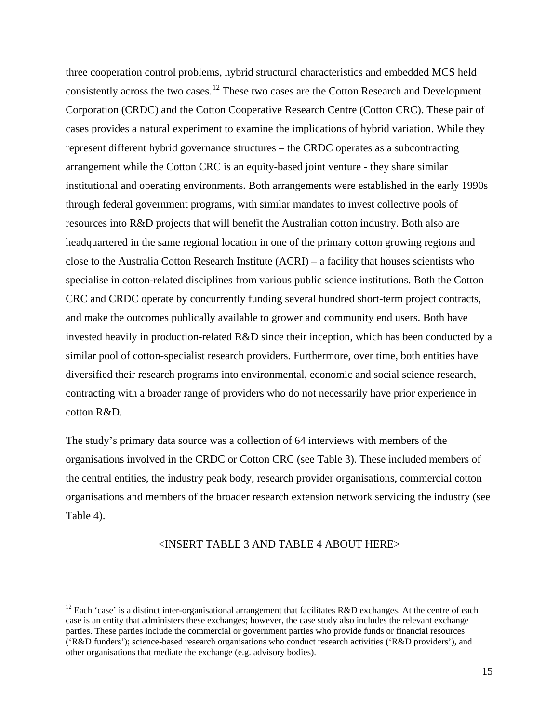three cooperation control problems, hybrid structural characteristics and embedded MCS held consistently across the two cases.[12](#page-14-0) These two cases are the Cotton Research and Development Corporation (CRDC) and the Cotton Cooperative Research Centre (Cotton CRC). These pair of cases provides a natural experiment to examine the implications of hybrid variation. While they represent different hybrid governance structures – the CRDC operates as a subcontracting arrangement while the Cotton CRC is an equity-based joint venture - they share similar institutional and operating environments. Both arrangements were established in the early 1990s through federal government programs, with similar mandates to invest collective pools of resources into R&D projects that will benefit the Australian cotton industry. Both also are headquartered in the same regional location in one of the primary cotton growing regions and close to the Australia Cotton Research Institute (ACRI) – a facility that houses scientists who specialise in cotton-related disciplines from various public science institutions. Both the Cotton CRC and CRDC operate by concurrently funding several hundred short-term project contracts, and make the outcomes publically available to grower and community end users. Both have invested heavily in production-related R&D since their inception, which has been conducted by a similar pool of cotton-specialist research providers. Furthermore, over time, both entities have diversified their research programs into environmental, economic and social science research, contracting with a broader range of providers who do not necessarily have prior experience in cotton R&D.

The study's primary data source was a collection of 64 interviews with members of the organisations involved in the CRDC or Cotton CRC (see Table 3). These included members of the central entities, the industry peak body, research provider organisations, commercial cotton organisations and members of the broader research extension network servicing the industry (see Table 4).

## <INSERT TABLE 3 AND TABLE 4 ABOUT HERE>

<span id="page-14-0"></span><sup>&</sup>lt;sup>12</sup> Each 'case' is a distinct inter-organisational arrangement that facilitates R&D exchanges. At the centre of each case is an entity that administers these exchanges; however, the case study also includes the relevant exchange parties. These parties include the commercial or government parties who provide funds or financial resources ('R&D funders'); science-based research organisations who conduct research activities ('R&D providers'), and other organisations that mediate the exchange (e.g. advisory bodies).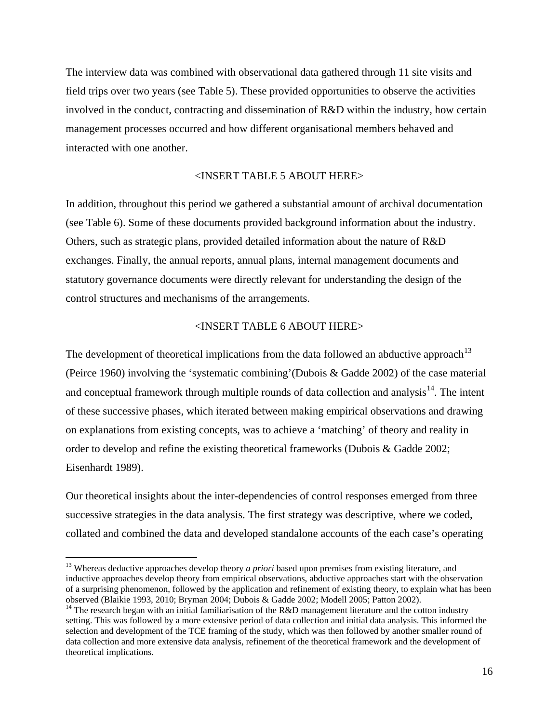The interview data was combined with observational data gathered through 11 site visits and field trips over two years (see [Table 5\)](#page-40-0). These provided opportunities to observe the activities involved in the conduct, contracting and dissemination of R&D within the industry, how certain management processes occurred and how different organisational members behaved and interacted with one another.

## <INSERT TABLE 5 ABOUT HERE>

In addition, throughout this period we gathered a substantial amount of archival documentation (see [Table 6\)](#page-40-1). Some of these documents provided background information about the industry. Others, such as strategic plans, provided detailed information about the nature of R&D exchanges. Finally, the annual reports, annual plans, internal management documents and statutory governance documents were directly relevant for understanding the design of the control structures and mechanisms of the arrangements.

## <INSERT TABLE 6 ABOUT HERE>

The development of theoretical implications from the data followed an abductive approach<sup>[13](#page-15-0)</sup> [\(Peirce 1960\)](#page-34-14) involving the 'systematic combining'[\(Dubois & Gadde 2002\)](#page-33-15) of the case material and conceptual framework through multiple rounds of data collection and analysis<sup>14</sup>. The intent of these successive phases, which iterated between making empirical observations and drawing on explanations from existing concepts, was to achieve a 'matching' of theory and reality in order to develop and refine the existing theoretical frameworks [\(Dubois & Gadde 2002;](#page-33-15) [Eisenhardt 1989\)](#page-33-16).

Our theoretical insights about the inter-dependencies of control responses emerged from three successive strategies in the data analysis. The first strategy was descriptive, where we coded, collated and combined the data and developed standalone accounts of the each case's operating

<span id="page-15-0"></span><sup>&</sup>lt;sup>13</sup> Whereas deductive approaches develop theory *a priori* based upon premises from existing literature, and inductive approaches develop theory from empirical observations, abductive approaches start with the observation of a surprising phenomenon, followed by the application and refinement of existing theory, to explain what has been<br>observed (Blaikie 1993, 2010; Bryman 2004; Dubois & Gadde 2002; Modell 2005; Patton 2002).

<span id="page-15-1"></span><sup>&</sup>lt;sup>14</sup> The research began with an initial familiarisation of the R&D management literature and the cotton industry setting. This was followed by a more extensive period of data collection and initial data analysis. This informed the selection and development of the TCE framing of the study, which was then followed by another smaller round of data collection and more extensive data analysis, refinement of the theoretical framework and the development of theoretical implications.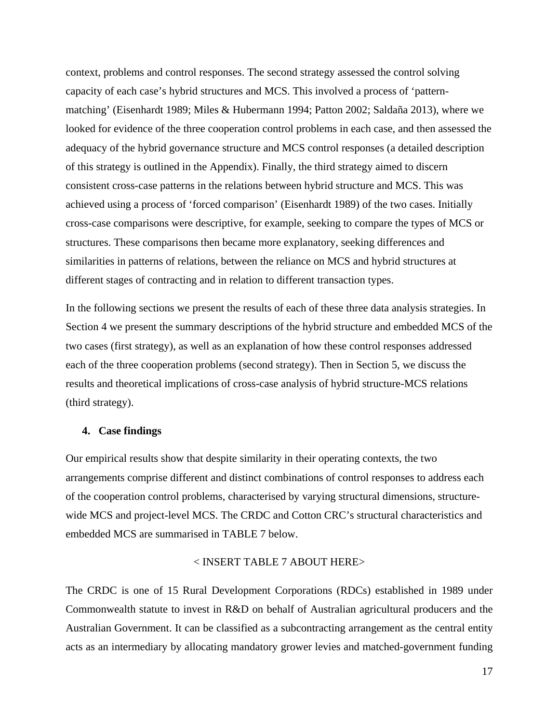context, problems and control responses. The second strategy assessed the control solving capacity of each case's hybrid structures and MCS. This involved a process of 'patternmatching' [\(Eisenhardt 1989;](#page-33-16) [Miles & Hubermann 1994;](#page-34-17) [Patton 2002;](#page-34-16) [Saldaña 2013\)](#page-34-18), where we looked for evidence of the three cooperation control problems in each case, and then assessed the adequacy of the hybrid governance structure and MCS control responses (a detailed description of this strategy is outlined in the Appendix). Finally, the third strategy aimed to discern consistent cross-case patterns in the relations between hybrid structure and MCS. This was achieved using a process of 'forced comparison' [\(Eisenhardt 1989\)](#page-33-16) of the two cases. Initially cross-case comparisons were descriptive, for example, seeking to compare the types of MCS or structures. These comparisons then became more explanatory, seeking differences and similarities in patterns of relations, between the reliance on MCS and hybrid structures at different stages of contracting and in relation to different transaction types.

In the following sections we present the results of each of these three data analysis strategies. In Section 4 we present the summary descriptions of the hybrid structure and embedded MCS of the two cases (first strategy), as well as an explanation of how these control responses addressed each of the three cooperation problems (second strategy). Then in Section 5, we discuss the results and theoretical implications of cross-case analysis of hybrid structure-MCS relations (third strategy).

## **4. Case findings**

Our empirical results show that despite similarity in their operating contexts, the two arrangements comprise different and distinct combinations of control responses to address each of the cooperation control problems, characterised by varying structural dimensions, structurewide MCS and project-level MCS. The CRDC and Cotton CRC's structural characteristics and embedded MCS are summarised in TABLE 7 below.

## < INSERT TABLE 7 ABOUT HERE>

The CRDC is one of 15 Rural Development Corporations (RDCs) established in 1989 under Commonwealth statute to invest in R&D on behalf of Australian agricultural producers and the Australian Government. It can be classified as a subcontracting arrangement as the central entity acts as an intermediary by allocating mandatory grower levies and matched-government funding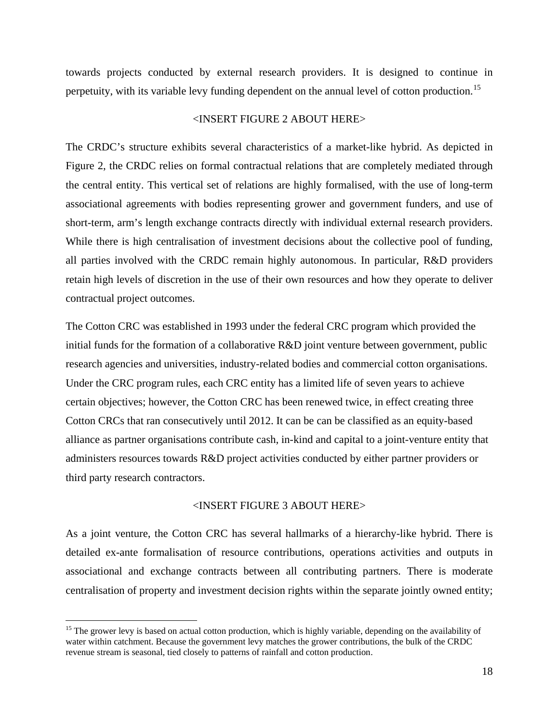towards projects conducted by external research providers. It is designed to continue in perpetuity, with its variable levy funding dependent on the annual level of cotton production.<sup>[15](#page-17-0)</sup>

## <INSERT FIGURE 2 ABOUT HERE>

The CRDC's structure exhibits several characteristics of a market-like hybrid. As depicted in Figure 2, the CRDC relies on formal contractual relations that are completely mediated through the central entity. This vertical set of relations are highly formalised, with the use of long-term associational agreements with bodies representing grower and government funders, and use of short-term, arm's length exchange contracts directly with individual external research providers. While there is high centralisation of investment decisions about the collective pool of funding, all parties involved with the CRDC remain highly autonomous. In particular, R&D providers retain high levels of discretion in the use of their own resources and how they operate to deliver contractual project outcomes.

The Cotton CRC was established in 1993 under the federal CRC program which provided the initial funds for the formation of a collaborative R&D joint venture between government, public research agencies and universities, industry-related bodies and commercial cotton organisations. Under the CRC program rules, each CRC entity has a limited life of seven years to achieve certain objectives; however, the Cotton CRC has been renewed twice, in effect creating three Cotton CRCs that ran consecutively until 2012. It can be can be classified as an equity-based alliance as partner organisations contribute cash, in-kind and capital to a joint-venture entity that administers resources towards R&D project activities conducted by either partner providers or third party research contractors.

#### <INSERT FIGURE 3 ABOUT HERE>

As a joint venture, the Cotton CRC has several hallmarks of a hierarchy-like hybrid. There is detailed ex-ante formalisation of resource contributions, operations activities and outputs in associational and exchange contracts between all contributing partners. There is moderate centralisation of property and investment decision rights within the separate jointly owned entity;

<span id="page-17-0"></span><sup>&</sup>lt;sup>15</sup> The grower levy is based on actual cotton production, which is highly variable, depending on the availability of water within catchment. Because the government levy matches the grower contributions, the bulk of the CRDC revenue stream is seasonal, tied closely to patterns of rainfall and cotton production.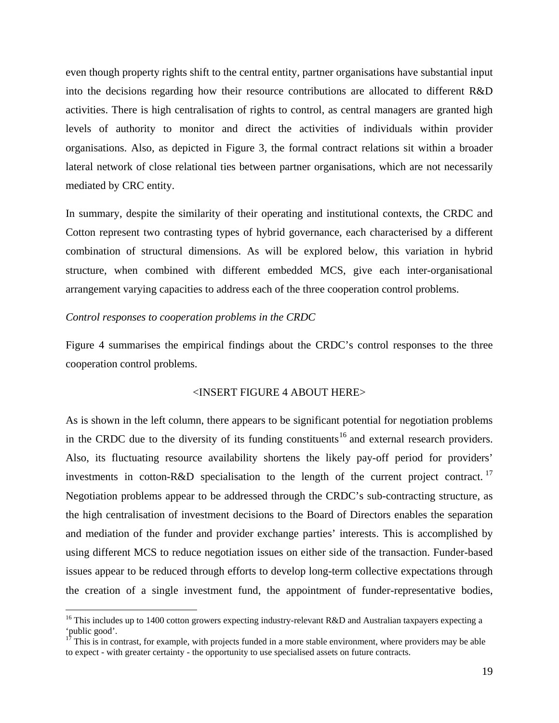even though property rights shift to the central entity, partner organisations have substantial input into the decisions regarding how their resource contributions are allocated to different R&D activities. There is high centralisation of rights to control, as central managers are granted high levels of authority to monitor and direct the activities of individuals within provider organisations. Also, as depicted in Figure 3, the formal contract relations sit within a broader lateral network of close relational ties between partner organisations, which are not necessarily mediated by CRC entity.

In summary, despite the similarity of their operating and institutional contexts, the CRDC and Cotton represent two contrasting types of hybrid governance, each characterised by a different combination of structural dimensions. As will be explored below, this variation in hybrid structure, when combined with different embedded MCS, give each inter-organisational arrangement varying capacities to address each of the three cooperation control problems.

## *Control responses to cooperation problems in the CRDC*

Figure 4 summarises the empirical findings about the CRDC's control responses to the three cooperation control problems.

## <INSERT FIGURE 4 ABOUT HERE>

As is shown in the left column, there appears to be significant potential for negotiation problems in the CRDC due to the diversity of its funding constituents<sup>[16](#page-18-0)</sup> and external research providers. Also, its fluctuating resource availability shortens the likely pay-off period for providers' investments in cotton-R&D specialisation to the length of the current project contract.<sup>[17](#page-18-1)</sup> Negotiation problems appear to be addressed through the CRDC's sub-contracting structure, as the high centralisation of investment decisions to the Board of Directors enables the separation and mediation of the funder and provider exchange parties' interests. This is accomplished by using different MCS to reduce negotiation issues on either side of the transaction. Funder-based issues appear to be reduced through efforts to develop long-term collective expectations through the creation of a single investment fund, the appointment of funder-representative bodies,

<sup>&</sup>lt;sup>16</sup> This includes up to 1400 cotton growers expecting industry-relevant R&D and Australian taxpayers expecting a

<span id="page-18-1"></span><span id="page-18-0"></span><sup>&#</sup>x27;public good'. <sup>17</sup> This is in contrast, for example, with projects funded in a more stable environment, where providers may be able to expect - with greater certainty - the opportunity to use specialised assets on future contracts.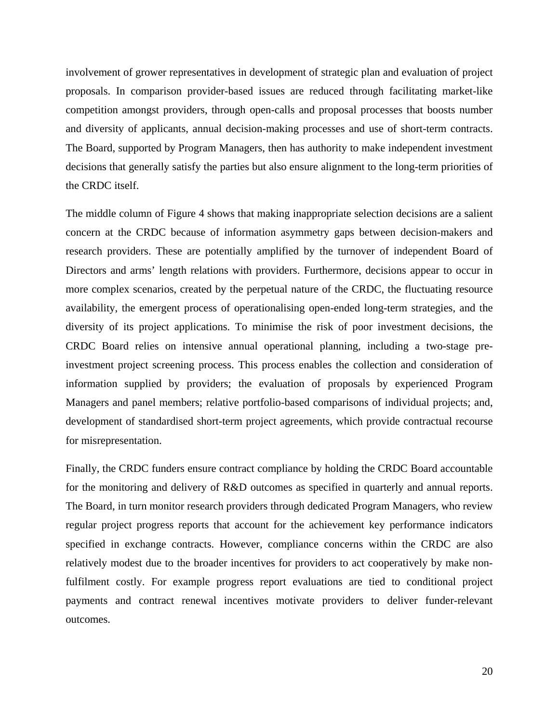involvement of grower representatives in development of strategic plan and evaluation of project proposals. In comparison provider-based issues are reduced through facilitating market-like competition amongst providers, through open-calls and proposal processes that boosts number and diversity of applicants, annual decision-making processes and use of short-term contracts. The Board, supported by Program Managers, then has authority to make independent investment decisions that generally satisfy the parties but also ensure alignment to the long-term priorities of the CRDC itself.

The middle column of Figure 4 shows that making inappropriate selection decisions are a salient concern at the CRDC because of information asymmetry gaps between decision-makers and research providers. These are potentially amplified by the turnover of independent Board of Directors and arms' length relations with providers. Furthermore, decisions appear to occur in more complex scenarios, created by the perpetual nature of the CRDC, the fluctuating resource availability, the emergent process of operationalising open-ended long-term strategies, and the diversity of its project applications. To minimise the risk of poor investment decisions, the CRDC Board relies on intensive annual operational planning, including a two-stage preinvestment project screening process. This process enables the collection and consideration of information supplied by providers; the evaluation of proposals by experienced Program Managers and panel members; relative portfolio-based comparisons of individual projects; and, development of standardised short-term project agreements, which provide contractual recourse for misrepresentation.

Finally, the CRDC funders ensure contract compliance by holding the CRDC Board accountable for the monitoring and delivery of R&D outcomes as specified in quarterly and annual reports. The Board, in turn monitor research providers through dedicated Program Managers, who review regular project progress reports that account for the achievement key performance indicators specified in exchange contracts. However, compliance concerns within the CRDC are also relatively modest due to the broader incentives for providers to act cooperatively by make nonfulfilment costly. For example progress report evaluations are tied to conditional project payments and contract renewal incentives motivate providers to deliver funder-relevant outcomes.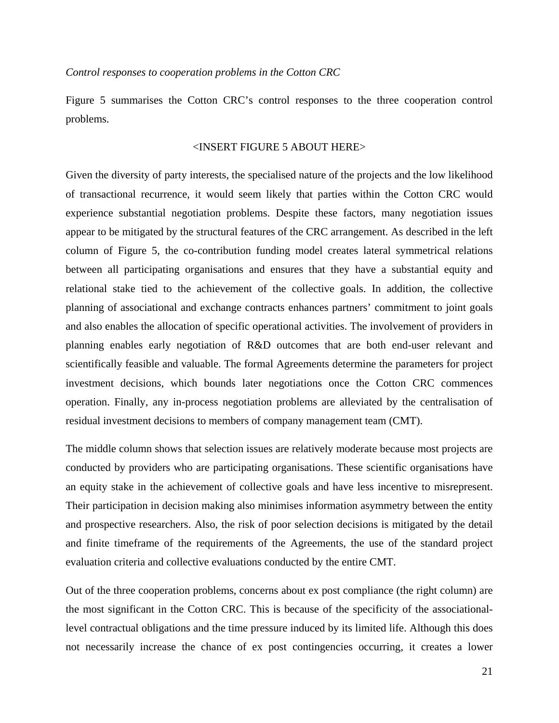*Control responses to cooperation problems in the Cotton CRC*

Figure 5 summarises the Cotton CRC's control responses to the three cooperation control problems.

## <INSERT FIGURE 5 ABOUT HERE>

Given the diversity of party interests, the specialised nature of the projects and the low likelihood of transactional recurrence, it would seem likely that parties within the Cotton CRC would experience substantial negotiation problems. Despite these factors, many negotiation issues appear to be mitigated by the structural features of the CRC arrangement. As described in the left column of Figure 5, the co-contribution funding model creates lateral symmetrical relations between all participating organisations and ensures that they have a substantial equity and relational stake tied to the achievement of the collective goals. In addition, the collective planning of associational and exchange contracts enhances partners' commitment to joint goals and also enables the allocation of specific operational activities. The involvement of providers in planning enables early negotiation of R&D outcomes that are both end-user relevant and scientifically feasible and valuable. The formal Agreements determine the parameters for project investment decisions, which bounds later negotiations once the Cotton CRC commences operation. Finally, any in-process negotiation problems are alleviated by the centralisation of residual investment decisions to members of company management team (CMT).

The middle column shows that selection issues are relatively moderate because most projects are conducted by providers who are participating organisations. These scientific organisations have an equity stake in the achievement of collective goals and have less incentive to misrepresent. Their participation in decision making also minimises information asymmetry between the entity and prospective researchers. Also, the risk of poor selection decisions is mitigated by the detail and finite timeframe of the requirements of the Agreements, the use of the standard project evaluation criteria and collective evaluations conducted by the entire CMT.

Out of the three cooperation problems, concerns about ex post compliance (the right column) are the most significant in the Cotton CRC. This is because of the specificity of the associationallevel contractual obligations and the time pressure induced by its limited life. Although this does not necessarily increase the chance of ex post contingencies occurring, it creates a lower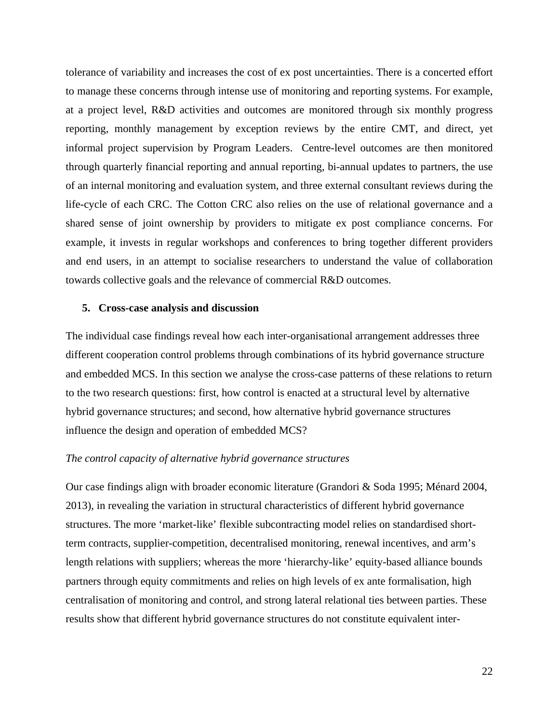tolerance of variability and increases the cost of ex post uncertainties. There is a concerted effort to manage these concerns through intense use of monitoring and reporting systems. For example, at a project level, R&D activities and outcomes are monitored through six monthly progress reporting, monthly management by exception reviews by the entire CMT, and direct, yet informal project supervision by Program Leaders. Centre-level outcomes are then monitored through quarterly financial reporting and annual reporting, bi-annual updates to partners, the use of an internal monitoring and evaluation system, and three external consultant reviews during the life-cycle of each CRC. The Cotton CRC also relies on the use of relational governance and a shared sense of joint ownership by providers to mitigate ex post compliance concerns. For example, it invests in regular workshops and conferences to bring together different providers and end users, in an attempt to socialise researchers to understand the value of collaboration towards collective goals and the relevance of commercial R&D outcomes.

#### **5. Cross-case analysis and discussion**

The individual case findings reveal how each inter-organisational arrangement addresses three different cooperation control problems through combinations of its hybrid governance structure and embedded MCS. In this section we analyse the cross-case patterns of these relations to return to the two research questions: first, how control is enacted at a structural level by alternative hybrid governance structures; and second, how alternative hybrid governance structures influence the design and operation of embedded MCS?

## *The control capacity of alternative hybrid governance structures*

Our case findings align with broader economic literature [\(Grandori & Soda 1995;](#page-33-6) [Ménard 2004,](#page-34-1) [2013\)](#page-34-2), in revealing the variation in structural characteristics of different hybrid governance structures. The more 'market-like' flexible subcontracting model relies on standardised shortterm contracts, supplier-competition, decentralised monitoring, renewal incentives, and arm's length relations with suppliers; whereas the more 'hierarchy-like' equity-based alliance bounds partners through equity commitments and relies on high levels of ex ante formalisation, high centralisation of monitoring and control, and strong lateral relational ties between parties. These results show that different hybrid governance structures do not constitute equivalent inter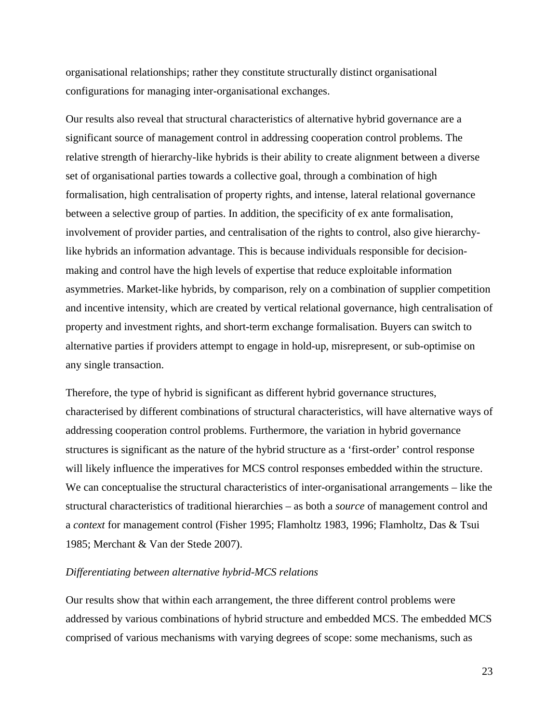organisational relationships; rather they constitute structurally distinct organisational configurations for managing inter-organisational exchanges.

Our results also reveal that structural characteristics of alternative hybrid governance are a significant source of management control in addressing cooperation control problems. The relative strength of hierarchy-like hybrids is their ability to create alignment between a diverse set of organisational parties towards a collective goal, through a combination of high formalisation, high centralisation of property rights, and intense, lateral relational governance between a selective group of parties. In addition, the specificity of ex ante formalisation, involvement of provider parties, and centralisation of the rights to control, also give hierarchylike hybrids an information advantage. This is because individuals responsible for decisionmaking and control have the high levels of expertise that reduce exploitable information asymmetries. Market-like hybrids, by comparison, rely on a combination of supplier competition and incentive intensity, which are created by vertical relational governance, high centralisation of property and investment rights, and short-term exchange formalisation. Buyers can switch to alternative parties if providers attempt to engage in hold-up, misrepresent, or sub-optimise on any single transaction.

Therefore, the type of hybrid is significant as different hybrid governance structures, characterised by different combinations of structural characteristics, will have alternative ways of addressing cooperation control problems. Furthermore, the variation in hybrid governance structures is significant as the nature of the hybrid structure as a 'first-order' control response will likely influence the imperatives for MCS control responses embedded within the structure. We can conceptualise the structural characteristics of inter-organisational arrangements – like the structural characteristics of traditional hierarchies – as both a *source* of management control and a *context* for management control [\(Fisher 1995;](#page-33-17) [Flamholtz 1983,](#page-33-18) [1996;](#page-33-19) [Flamholtz, Das & Tsui](#page-33-20)  [1985;](#page-33-20) [Merchant & Van der Stede 2007\)](#page-34-19).

## *Differentiating between alternative hybrid-MCS relations*

Our results show that within each arrangement, the three different control problems were addressed by various combinations of hybrid structure and embedded MCS. The embedded MCS comprised of various mechanisms with varying degrees of scope: some mechanisms, such as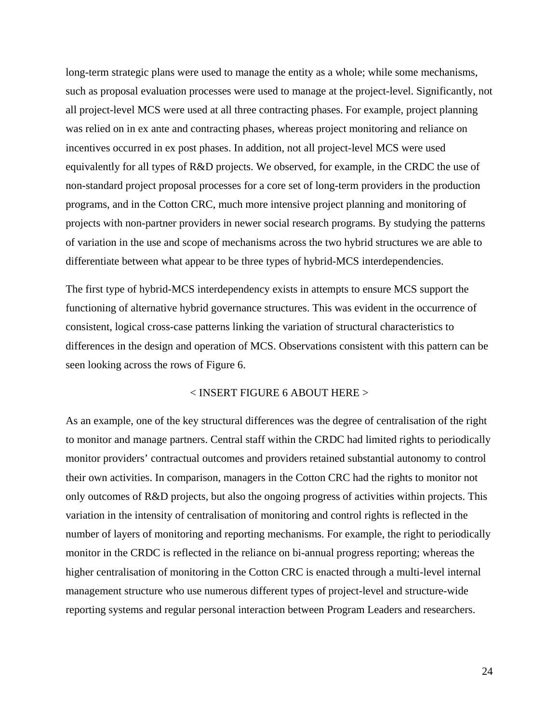long-term strategic plans were used to manage the entity as a whole; while some mechanisms, such as proposal evaluation processes were used to manage at the project-level. Significantly, not all project-level MCS were used at all three contracting phases. For example, project planning was relied on in ex ante and contracting phases, whereas project monitoring and reliance on incentives occurred in ex post phases. In addition, not all project-level MCS were used equivalently for all types of R&D projects. We observed, for example, in the CRDC the use of non-standard project proposal processes for a core set of long-term providers in the production programs, and in the Cotton CRC, much more intensive project planning and monitoring of projects with non-partner providers in newer social research programs. By studying the patterns of variation in the use and scope of mechanisms across the two hybrid structures we are able to differentiate between what appear to be three types of hybrid-MCS interdependencies.

The first type of hybrid-MCS interdependency exists in attempts to ensure MCS support the functioning of alternative hybrid governance structures. This was evident in the occurrence of consistent, logical cross-case patterns linking the variation of structural characteristics to differences in the design and operation of MCS. Observations consistent with this pattern can be seen looking across the rows of Figure 6.

## < INSERT FIGURE 6 ABOUT HERE >

As an example, one of the key structural differences was the degree of centralisation of the right to monitor and manage partners. Central staff within the CRDC had limited rights to periodically monitor providers' contractual outcomes and providers retained substantial autonomy to control their own activities. In comparison, managers in the Cotton CRC had the rights to monitor not only outcomes of R&D projects, but also the ongoing progress of activities within projects. This variation in the intensity of centralisation of monitoring and control rights is reflected in the number of layers of monitoring and reporting mechanisms. For example, the right to periodically monitor in the CRDC is reflected in the reliance on bi-annual progress reporting; whereas the higher centralisation of monitoring in the Cotton CRC is enacted through a multi-level internal management structure who use numerous different types of project-level and structure-wide reporting systems and regular personal interaction between Program Leaders and researchers.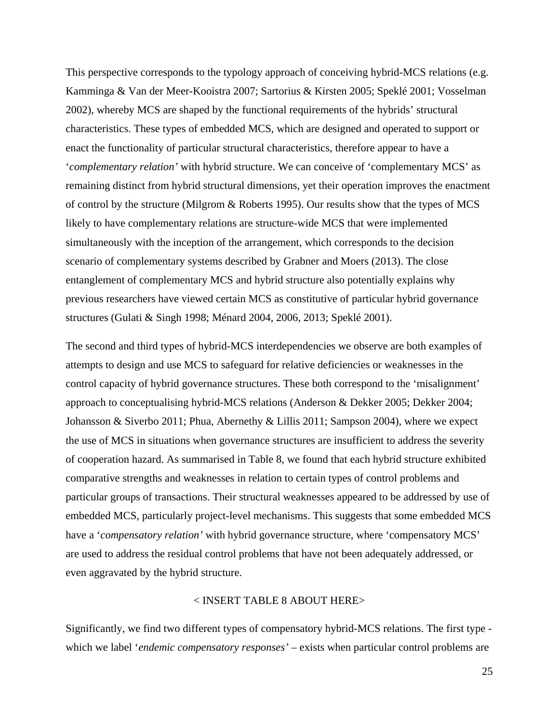This perspective corresponds to the typology approach of conceiving hybrid-MCS relations (e.g. [Kamminga & Van der Meer-Kooistra 2007;](#page-33-10) [Sartorius & Kirsten 2005;](#page-35-17) [Speklé 2001;](#page-35-3) [Vosselman](#page-35-18)  [2002\)](#page-35-18), whereby MCS are shaped by the functional requirements of the hybrids' structural characteristics. These types of embedded MCS, which are designed and operated to support or enact the functionality of particular structural characteristics, therefore appear to have a '*complementary relation'* with hybrid structure. We can conceive of 'complementary MCS' as remaining distinct from hybrid structural dimensions, yet their operation improves the enactment of control by the structure [\(Milgrom & Roberts 1995\)](#page-34-20). Our results show that the types of MCS likely to have complementary relations are structure-wide MCS that were implemented simultaneously with the inception of the arrangement, which corresponds to the decision scenario of complementary systems described by [Grabner and Moers \(2013\).](#page-33-21) The close entanglement of complementary MCS and hybrid structure also potentially explains why previous researchers have viewed certain MCS as constitutive of particular hybrid governance structures [\(Gulati & Singh 1998;](#page-33-1) [Ménard 2004,](#page-34-1) [2006,](#page-34-8) [2013;](#page-34-2) [Speklé 2001\)](#page-35-3).

The second and third types of hybrid-MCS interdependencies we observe are both examples of attempts to design and use MCS to safeguard for relative deficiencies or weaknesses in the control capacity of hybrid governance structures. These both correspond to the 'misalignment' approach to conceptualising hybrid-MCS relations [\(Anderson & Dekker 2005;](#page-32-9) [Dekker 2004;](#page-32-3) [Johansson & Siverbo 2011;](#page-33-0) [Phua, Abernethy & Lillis 2011;](#page-34-13) [Sampson 2004\)](#page-35-9), where we expect the use of MCS in situations when governance structures are insufficient to address the severity of cooperation hazard. As summarised in Table 8, we found that each hybrid structure exhibited comparative strengths and weaknesses in relation to certain types of control problems and particular groups of transactions. Their structural weaknesses appeared to be addressed by use of embedded MCS, particularly project-level mechanisms. This suggests that some embedded MCS have a '*compensatory relation'* with hybrid governance structure, where 'compensatory MCS' are used to address the residual control problems that have not been adequately addressed, or even aggravated by the hybrid structure.

## < INSERT TABLE 8 ABOUT HERE>

Significantly, we find two different types of compensatory hybrid-MCS relations. The first type which we label '*endemic compensatory responses'* – exists when particular control problems are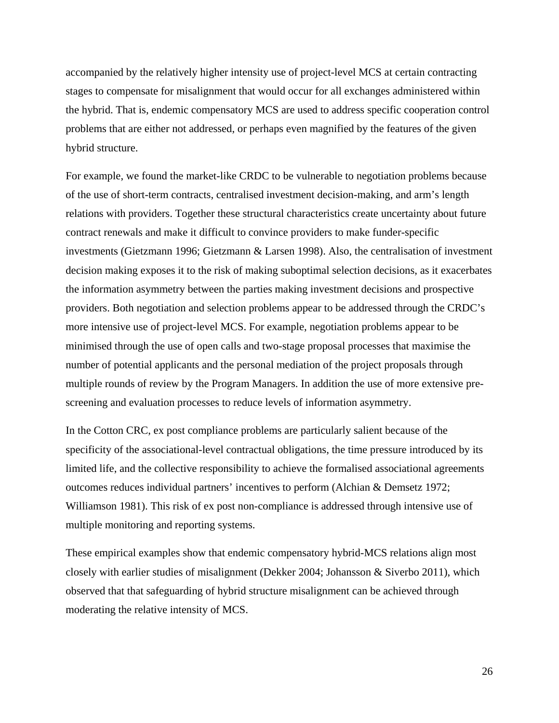accompanied by the relatively higher intensity use of project-level MCS at certain contracting stages to compensate for misalignment that would occur for all exchanges administered within the hybrid. That is, endemic compensatory MCS are used to address specific cooperation control problems that are either not addressed, or perhaps even magnified by the features of the given hybrid structure.

For example, we found the market-like CRDC to be vulnerable to negotiation problems because of the use of short-term contracts, centralised investment decision-making, and arm's length relations with providers. Together these structural characteristics create uncertainty about future contract renewals and make it difficult to convince providers to make funder-specific investments [\(Gietzmann 1996;](#page-33-11) [Gietzmann & Larsen 1998\)](#page-33-12). Also, the centralisation of investment decision making exposes it to the risk of making suboptimal selection decisions, as it exacerbates the information asymmetry between the parties making investment decisions and prospective providers. Both negotiation and selection problems appear to be addressed through the CRDC's more intensive use of project-level MCS. For example, negotiation problems appear to be minimised through the use of open calls and two-stage proposal processes that maximise the number of potential applicants and the personal mediation of the project proposals through multiple rounds of review by the Program Managers. In addition the use of more extensive prescreening and evaluation processes to reduce levels of information asymmetry.

In the Cotton CRC, ex post compliance problems are particularly salient because of the specificity of the associational-level contractual obligations, the time pressure introduced by its limited life, and the collective responsibility to achieve the formalised associational agreements outcomes reduces individual partners' incentives to perform [\(Alchian & Demsetz 1972;](#page-32-20) [Williamson 1981\)](#page-35-21). This risk of ex post non-compliance is addressed through intensive use of multiple monitoring and reporting systems.

These empirical examples show that endemic compensatory hybrid-MCS relations align most closely with earlier studies of misalignment [\(Dekker 2004;](#page-32-3) [Johansson & Siverbo 2011\)](#page-33-0), which observed that that safeguarding of hybrid structure misalignment can be achieved through moderating the relative intensity of MCS.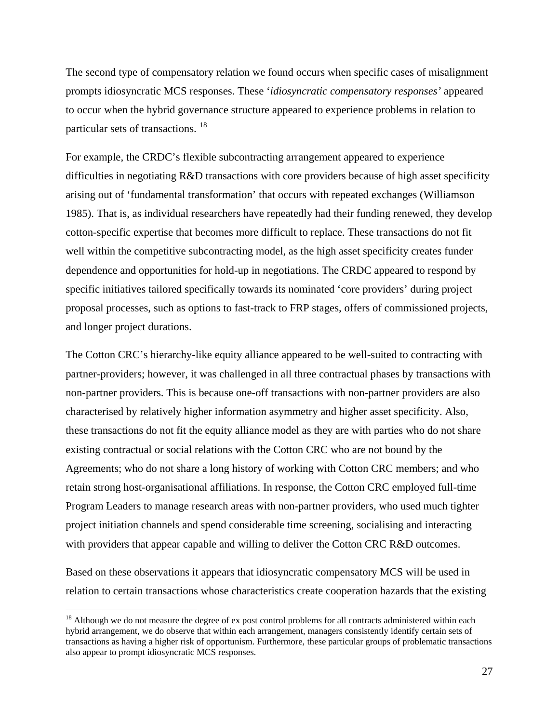The second type of compensatory relation we found occurs when specific cases of misalignment prompts idiosyncratic MCS responses. These '*idiosyncratic compensatory responses'* appeared to occur when the hybrid governance structure appeared to experience problems in relation to particular sets of transactions. [18](#page-26-0)

For example, the CRDC's flexible subcontracting arrangement appeared to experience difficulties in negotiating R&D transactions with core providers because of high asset specificity arising out of 'fundamental transformation' that occurs with repeated exchanges [\(Williamson](#page-35-0)  1985). That is, as individual researchers have repeatedly had their funding renewed, they develop cotton-specific expertise that becomes more difficult to replace. These transactions do not fit well within the competitive subcontracting model, as the high asset specificity creates funder dependence and opportunities for hold-up in negotiations. The CRDC appeared to respond by specific initiatives tailored specifically towards its nominated 'core providers' during project proposal processes, such as options to fast-track to FRP stages, offers of commissioned projects, and longer project durations.

The Cotton CRC's hierarchy-like equity alliance appeared to be well-suited to contracting with partner-providers; however, it was challenged in all three contractual phases by transactions with non-partner providers. This is because one-off transactions with non-partner providers are also characterised by relatively higher information asymmetry and higher asset specificity. Also, these transactions do not fit the equity alliance model as they are with parties who do not share existing contractual or social relations with the Cotton CRC who are not bound by the Agreements; who do not share a long history of working with Cotton CRC members; and who retain strong host-organisational affiliations. In response, the Cotton CRC employed full-time Program Leaders to manage research areas with non-partner providers, who used much tighter project initiation channels and spend considerable time screening, socialising and interacting with providers that appear capable and willing to deliver the Cotton CRC R&D outcomes.

Based on these observations it appears that idiosyncratic compensatory MCS will be used in relation to certain transactions whose characteristics create cooperation hazards that the existing

<span id="page-26-0"></span><sup>&</sup>lt;sup>18</sup> Although we do not measure the degree of ex post control problems for all contracts administered within each hybrid arrangement, we do observe that within each arrangement, managers consistently identify certain sets of transactions as having a higher risk of opportunism. Furthermore, these particular groups of problematic transactions also appear to prompt idiosyncratic MCS responses.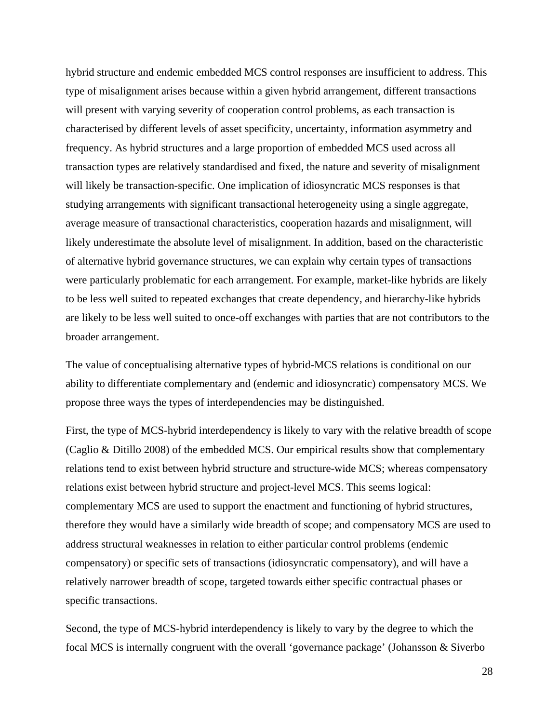hybrid structure and endemic embedded MCS control responses are insufficient to address. This type of misalignment arises because within a given hybrid arrangement, different transactions will present with varying severity of cooperation control problems, as each transaction is characterised by different levels of asset specificity, uncertainty, information asymmetry and frequency. As hybrid structures and a large proportion of embedded MCS used across all transaction types are relatively standardised and fixed, the nature and severity of misalignment will likely be transaction-specific. One implication of idiosyncratic MCS responses is that studying arrangements with significant transactional heterogeneity using a single aggregate, average measure of transactional characteristics, cooperation hazards and misalignment, will likely underestimate the absolute level of misalignment. In addition, based on the characteristic of alternative hybrid governance structures, we can explain why certain types of transactions were particularly problematic for each arrangement. For example, market-like hybrids are likely to be less well suited to repeated exchanges that create dependency, and hierarchy-like hybrids are likely to be less well suited to once-off exchanges with parties that are not contributors to the broader arrangement.

The value of conceptualising alternative types of hybrid-MCS relations is conditional on our ability to differentiate complementary and (endemic and idiosyncratic) compensatory MCS. We propose three ways the types of interdependencies may be distinguished.

First, the type of MCS-hybrid interdependency is likely to vary with the relative breadth of scope [\(Caglio & Ditillo 2008\)](#page-32-2) of the embedded MCS. Our empirical results show that complementary relations tend to exist between hybrid structure and structure-wide MCS; whereas compensatory relations exist between hybrid structure and project-level MCS. This seems logical: complementary MCS are used to support the enactment and functioning of hybrid structures, therefore they would have a similarly wide breadth of scope; and compensatory MCS are used to address structural weaknesses in relation to either particular control problems (endemic compensatory) or specific sets of transactions (idiosyncratic compensatory), and will have a relatively narrower breadth of scope, targeted towards either specific contractual phases or specific transactions.

Second, the type of MCS-hybrid interdependency is likely to vary by the degree to which the focal MCS is internally congruent with the overall 'governance package' [\(Johansson & Siverbo](#page-33-0)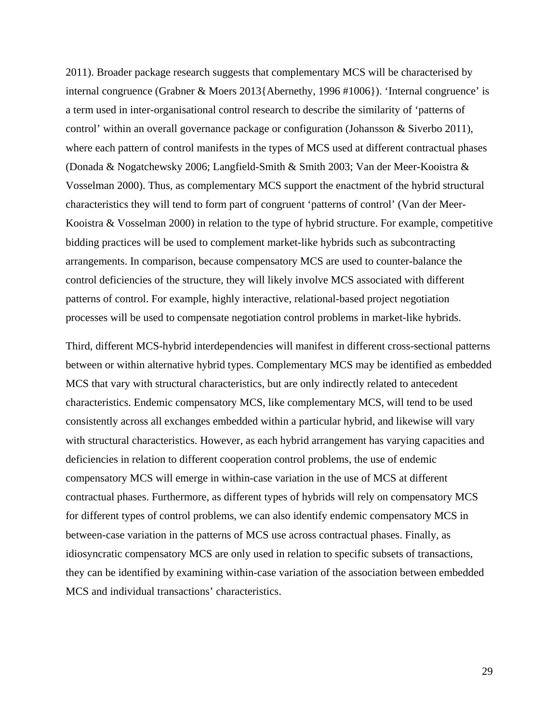2011). Broader package research suggests that complementary MCS will be characterised by internal congruence [\(Grabner & Moers 2013{](#page-33-21)Abernethy, 1996 #1006}). 'Internal congruence' is a term used in inter-organisational control research to describe the similarity of 'patterns of control' within an overall governance package or configuration [\(Johansson & Siverbo 2011\)](#page-33-0), where each pattern of control manifests in the types of MCS used at different contractual phases [\(Donada & Nogatchewsky 2006;](#page-32-12) [Langfield-Smith & Smith 2003;](#page-33-3) [Van der Meer-Kooistra &](#page-35-1)  [Vosselman 2000\)](#page-35-1). Thus, as complementary MCS support the enactment of the hybrid structural characteristics they will tend to form part of congruent 'patterns of control' [\(Van der Meer-](#page-35-1)Kooistra & Vosselman 2000) in relation to the type of hybrid structure. For example, competitive bidding practices will be used to complement market-like hybrids such as subcontracting arrangements. In comparison, because compensatory MCS are used to counter-balance the control deficiencies of the structure, they will likely involve MCS associated with different patterns of control. For example, highly interactive, relational-based project negotiation processes will be used to compensate negotiation control problems in market-like hybrids.

Third, different MCS-hybrid interdependencies will manifest in different cross-sectional patterns between or within alternative hybrid types. Complementary MCS may be identified as embedded MCS that vary with structural characteristics, but are only indirectly related to antecedent characteristics. Endemic compensatory MCS, like complementary MCS, will tend to be used consistently across all exchanges embedded within a particular hybrid, and likewise will vary with structural characteristics. However, as each hybrid arrangement has varying capacities and deficiencies in relation to different cooperation control problems, the use of endemic compensatory MCS will emerge in within-case variation in the use of MCS at different contractual phases. Furthermore, as different types of hybrids will rely on compensatory MCS for different types of control problems, we can also identify endemic compensatory MCS in between-case variation in the patterns of MCS use across contractual phases. Finally, as idiosyncratic compensatory MCS are only used in relation to specific subsets of transactions, they can be identified by examining within-case variation of the association between embedded MCS and individual transactions' characteristics.

29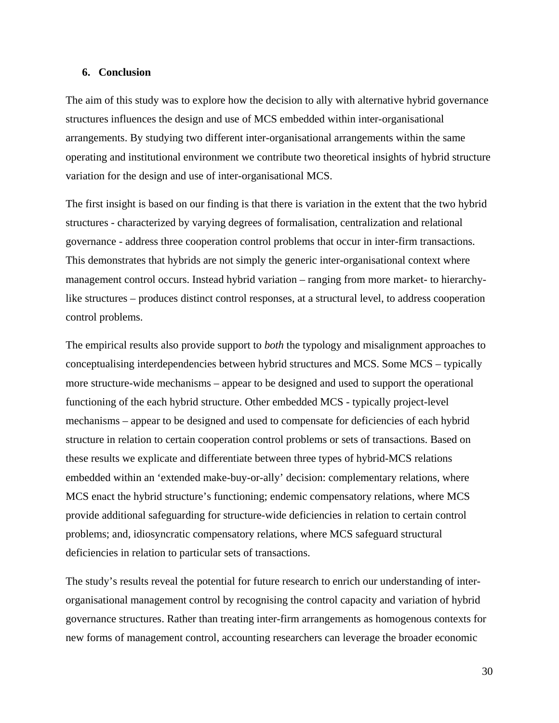## **6. Conclusion**

The aim of this study was to explore how the decision to ally with alternative hybrid governance structures influences the design and use of MCS embedded within inter-organisational arrangements. By studying two different inter-organisational arrangements within the same operating and institutional environment we contribute two theoretical insights of hybrid structure variation for the design and use of inter-organisational MCS.

The first insight is based on our finding is that there is variation in the extent that the two hybrid structures - characterized by varying degrees of formalisation, centralization and relational governance - address three cooperation control problems that occur in inter-firm transactions. This demonstrates that hybrids are not simply the generic inter-organisational context where management control occurs. Instead hybrid variation – ranging from more market- to hierarchylike structures – produces distinct control responses, at a structural level, to address cooperation control problems.

The empirical results also provide support to *both* the typology and misalignment approaches to conceptualising interdependencies between hybrid structures and MCS. Some MCS – typically more structure-wide mechanisms – appear to be designed and used to support the operational functioning of the each hybrid structure. Other embedded MCS - typically project-level mechanisms – appear to be designed and used to compensate for deficiencies of each hybrid structure in relation to certain cooperation control problems or sets of transactions. Based on these results we explicate and differentiate between three types of hybrid-MCS relations embedded within an 'extended make-buy-or-ally' decision: complementary relations, where MCS enact the hybrid structure's functioning; endemic compensatory relations, where MCS provide additional safeguarding for structure-wide deficiencies in relation to certain control problems; and, idiosyncratic compensatory relations, where MCS safeguard structural deficiencies in relation to particular sets of transactions.

The study's results reveal the potential for future research to enrich our understanding of interorganisational management control by recognising the control capacity and variation of hybrid governance structures. Rather than treating inter-firm arrangements as homogenous contexts for new forms of management control, accounting researchers can leverage the broader economic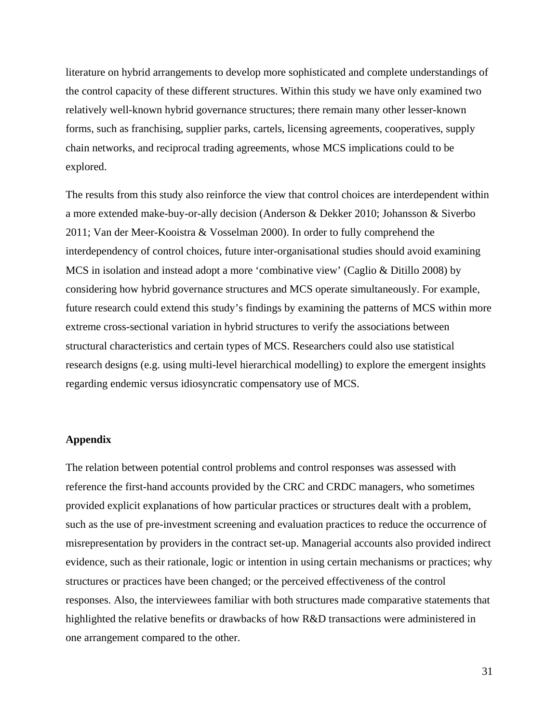literature on hybrid arrangements to develop more sophisticated and complete understandings of the control capacity of these different structures. Within this study we have only examined two relatively well-known hybrid governance structures; there remain many other lesser-known forms, such as franchising, supplier parks, cartels, licensing agreements, cooperatives, supply chain networks, and reciprocal trading agreements, whose MCS implications could to be explored.

The results from this study also reinforce the view that control choices are interdependent within a more extended make-buy-or-ally decision [\(Anderson & Dekker 2010;](#page-32-0) [Johansson & Siverbo](#page-33-0)  [2011;](#page-33-0) [Van der Meer-Kooistra & Vosselman 2000\)](#page-35-1). In order to fully comprehend the interdependency of control choices, future inter-organisational studies should avoid examining MCS in isolation and instead adopt a more 'combinative view' [\(Caglio & Ditillo 2008\)](#page-32-2) by considering how hybrid governance structures and MCS operate simultaneously. For example, future research could extend this study's findings by examining the patterns of MCS within more extreme cross-sectional variation in hybrid structures to verify the associations between structural characteristics and certain types of MCS. Researchers could also use statistical research designs (e.g. using multi-level hierarchical modelling) to explore the emergent insights regarding endemic versus idiosyncratic compensatory use of MCS.

## **Appendix**

The relation between potential control problems and control responses was assessed with reference the first-hand accounts provided by the CRC and CRDC managers, who sometimes provided explicit explanations of how particular practices or structures dealt with a problem, such as the use of pre-investment screening and evaluation practices to reduce the occurrence of misrepresentation by providers in the contract set-up. Managerial accounts also provided indirect evidence, such as their rationale, logic or intention in using certain mechanisms or practices; why structures or practices have been changed; or the perceived effectiveness of the control responses. Also, the interviewees familiar with both structures made comparative statements that highlighted the relative benefits or drawbacks of how R&D transactions were administered in one arrangement compared to the other.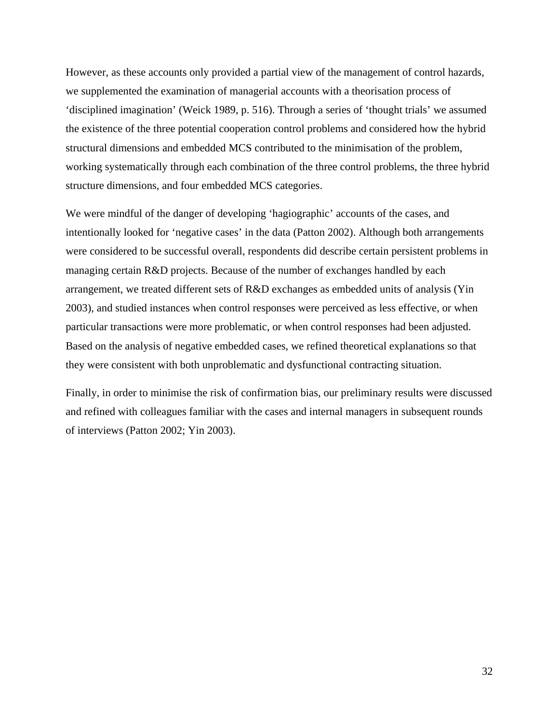However, as these accounts only provided a partial view of the management of control hazards, we supplemented the examination of managerial accounts with a theorisation process of 'disciplined imagination' [\(Weick 1989, p. 516\)](#page-35-22). Through a series of 'thought trials' we assumed the existence of the three potential cooperation control problems and considered how the hybrid structural dimensions and embedded MCS contributed to the minimisation of the problem, working systematically through each combination of the three control problems, the three hybrid structure dimensions, and four embedded MCS categories.

We were mindful of the danger of developing 'hagiographic' accounts of the cases, and intentionally looked for 'negative cases' in the data [\(Patton 2002\)](#page-34-16). Although both arrangements were considered to be successful overall, respondents did describe certain persistent problems in managing certain R&D projects. Because of the number of exchanges handled by each arrangement, we treated different sets of R&D exchanges as embedded units of analysis [\(Yin](#page-35-20)  2003), and studied instances when control responses were perceived as less effective, or when particular transactions were more problematic, or when control responses had been adjusted. Based on the analysis of negative embedded cases, we refined theoretical explanations so that they were consistent with both unproblematic and dysfunctional contracting situation.

Finally, in order to minimise the risk of confirmation bias, our preliminary results were discussed and refined with colleagues familiar with the cases and internal managers in subsequent rounds of interviews [\(Patton 2002;](#page-34-16) [Yin 2003\)](#page-35-20).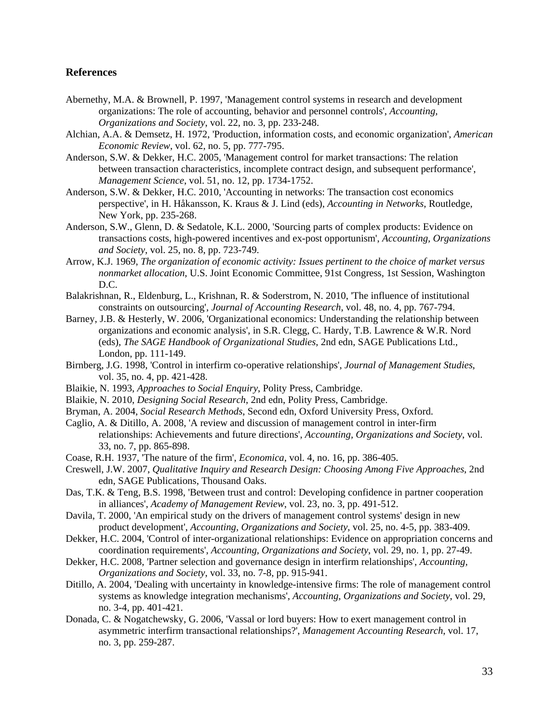## **References**

- <span id="page-32-14"></span>Abernethy, M.A. & Brownell, P. 1997, 'Management control systems in research and development organizations: The role of accounting, behavior and personnel controls', *Accounting, Organizations and Society*, vol. 22, no. 3, pp. 233-248.
- <span id="page-32-20"></span>Alchian, A.A. & Demsetz, H. 1972, 'Production, information costs, and economic organization', *American Economic Review*, vol. 62, no. 5, pp. 777-795.
- <span id="page-32-9"></span>Anderson, S.W. & Dekker, H.C. 2005, 'Management control for market transactions: The relation between transaction characteristics, incomplete contract design, and subsequent performance', *Management Science*, vol. 51, no. 12, pp. 1734-1752.
- <span id="page-32-0"></span>Anderson, S.W. & Dekker, H.C. 2010, 'Accounting in networks: The transaction cost economics perspective', in H. Håkansson, K. Kraus & J. Lind (eds), *Accounting in Networks*, Routledge, New York, pp. 235-268.
- <span id="page-32-6"></span>Anderson, S.W., Glenn, D. & Sedatole, K.L. 2000, 'Sourcing parts of complex products: Evidence on transactions costs, high-powered incentives and ex-post opportunism', *Accounting, Organizations and Society*, vol. 25, no. 8, pp. 723-749.
- <span id="page-32-4"></span>Arrow, K.J. 1969, *The organization of economic activity: Issues pertinent to the choice of market versus nonmarket allocation*, U.S. Joint Economic Committee, 91st Congress, 1st Session, Washington D.C.
- <span id="page-32-7"></span>Balakrishnan, R., Eldenburg, L., Krishnan, R. & Soderstrom, N. 2010, 'The influence of institutional constraints on outsourcing', *Journal of Accounting Research*, vol. 48, no. 4, pp. 767-794.
- <span id="page-32-8"></span>Barney, J.B. & Hesterly, W. 2006, 'Organizational economics: Understanding the relationship between organizations and economic analysis', in S.R. Clegg, C. Hardy, T.B. Lawrence & W.R. Nord (eds), *The SAGE Handbook of Organizational Studies*, 2nd edn, SAGE Publications Ltd., London, pp. 111-149.
- <span id="page-32-1"></span>Birnberg, J.G. 1998, 'Control in interfirm co-operative relationships', *Journal of Management Studies*, vol. 35, no. 4, pp. 421-428.
- <span id="page-32-17"></span>Blaikie, N. 1993, *Approaches to Social Enquiry*, Polity Press, Cambridge.
- <span id="page-32-18"></span>Blaikie, N. 2010, *Designing Social Research*, 2nd edn, Polity Press, Cambridge.
- <span id="page-32-19"></span>Bryman, A. 2004, *Social Research Methods*, Second edn, Oxford University Press, Oxford.
- <span id="page-32-2"></span>Caglio, A. & Ditillo, A. 2008, 'A review and discussion of management control in inter-firm relationships: Achievements and future directions', *Accounting, Organizations and Society*, vol. 33, no. 7, pp. 865-898.
- <span id="page-32-5"></span>Coase, R.H. 1937, 'The nature of the firm', *Economica*, vol. 4, no. 16, pp. 386-405.
- <span id="page-32-16"></span>Creswell, J.W. 2007, *Qualitative Inquiry and Research Design: Choosing Among Five Approaches*, 2nd edn, SAGE Publications, Thousand Oaks.
- <span id="page-32-11"></span>Das, T.K. & Teng, B.S. 1998, 'Between trust and control: Developing confidence in partner cooperation in alliances', *Academy of Management Review*, vol. 23, no. 3, pp. 491-512.
- <span id="page-32-15"></span>Davila, T. 2000, 'An empirical study on the drivers of management control systems' design in new product development', *Accounting, Organizations and Society*, vol. 25, no. 4-5, pp. 383-409.
- <span id="page-32-3"></span>Dekker, H.C. 2004, 'Control of inter-organizational relationships: Evidence on appropriation concerns and coordination requirements', *Accounting, Organizations and Society*, vol. 29, no. 1, pp. 27-49.
- <span id="page-32-10"></span>Dekker, H.C. 2008, 'Partner selection and governance design in interfirm relationships', *Accounting, Organizations and Society*, vol. 33, no. 7-8, pp. 915-941.
- <span id="page-32-13"></span>Ditillo, A. 2004, 'Dealing with uncertainty in knowledge-intensive firms: The role of management control systems as knowledge integration mechanisms', *Accounting, Organizations and Society*, vol. 29, no. 3-4, pp. 401-421.
- <span id="page-32-12"></span>Donada, C. & Nogatchewsky, G. 2006, 'Vassal or lord buyers: How to exert management control in asymmetric interfirm transactional relationships?', *Management Accounting Research*, vol. 17, no. 3, pp. 259-287.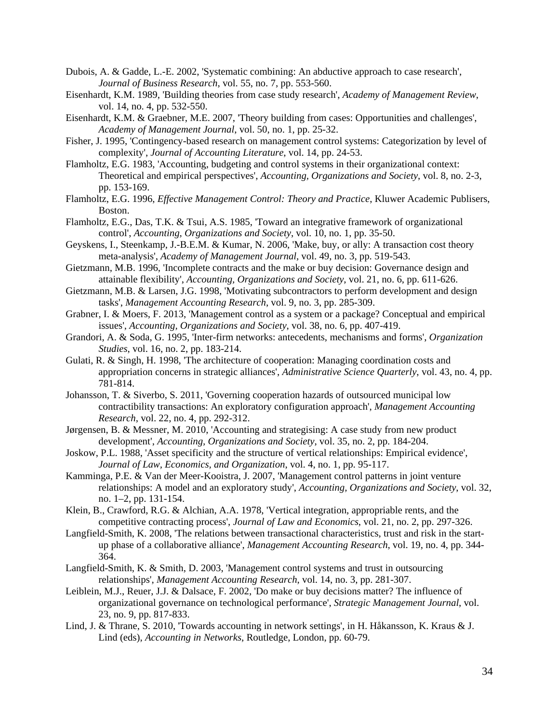- <span id="page-33-15"></span>Dubois, A. & Gadde, L.-E. 2002, 'Systematic combining: An abductive approach to case research', *Journal of Business Research*, vol. 55, no. 7, pp. 553-560.
- <span id="page-33-16"></span>Eisenhardt, K.M. 1989, 'Building theories from case study research', *Academy of Management Review*, vol. 14, no. 4, pp. 532-550.
- <span id="page-33-14"></span>Eisenhardt, K.M. & Graebner, M.E. 2007, 'Theory building from cases: Opportunities and challenges', *Academy of Management Journal*, vol. 50, no. 1, pp. 25-32.
- <span id="page-33-17"></span>Fisher, J. 1995, 'Contingency-based research on management control systems: Categorization by level of complexity', *Journal of Accounting Literature*, vol. 14, pp. 24-53.
- <span id="page-33-18"></span>Flamholtz, E.G. 1983, 'Accounting, budgeting and control systems in their organizational context: Theoretical and empirical perspectives', *Accounting, Organizations and Society*, vol. 8, no. 2-3, pp. 153-169.
- <span id="page-33-19"></span>Flamholtz, E.G. 1996, *Effective Management Control: Theory and Practice*, Kluwer Academic Publisers, Boston.
- <span id="page-33-20"></span>Flamholtz, E.G., Das, T.K. & Tsui, A.S. 1985, 'Toward an integrative framework of organizational control', *Accounting, Organizations and Society*, vol. 10, no. 1, pp. 35-50.
- <span id="page-33-5"></span>Geyskens, I., Steenkamp, J.-B.E.M. & Kumar, N. 2006, 'Make, buy, or ally: A transaction cost theory meta-analysis', *Academy of Management Journal*, vol. 49, no. 3, pp. 519-543.
- <span id="page-33-11"></span>Gietzmann, M.B. 1996, 'Incomplete contracts and the make or buy decision: Governance design and attainable flexibility', *Accounting, Organizations and Society*, vol. 21, no. 6, pp. 611-626.
- <span id="page-33-12"></span>Gietzmann, M.B. & Larsen, J.G. 1998, 'Motivating subcontractors to perform development and design tasks', *Management Accounting Research*, vol. 9, no. 3, pp. 285-309.
- <span id="page-33-21"></span>Grabner, I. & Moers, F. 2013, 'Management control as a system or a package? Conceptual and empirical issues', *Accounting, Organizations and Society*, vol. 38, no. 6, pp. 407-419.
- <span id="page-33-6"></span>Grandori, A. & Soda, G. 1995, 'Inter-firm networks: antecedents, mechanisms and forms', *Organization Studies*, vol. 16, no. 2, pp. 183-214.
- <span id="page-33-1"></span>Gulati, R. & Singh, H. 1998, 'The architecture of cooperation: Managing coordination costs and appropriation concerns in strategic alliances', *Administrative Science Quarterly*, vol. 43, no. 4, pp. 781-814.
- <span id="page-33-0"></span>Johansson, T. & Siverbo, S. 2011, 'Governing cooperation hazards of outsourced municipal low contractibility transactions: An exploratory configuration approach', *Management Accounting Research*, vol. 22, no. 4, pp. 292-312.
- <span id="page-33-13"></span>Jørgensen, B. & Messner, M. 2010, 'Accounting and strategising: A case study from new product development', *Accounting, Organizations and Society*, vol. 35, no. 2, pp. 184-204.
- <span id="page-33-8"></span>Joskow, P.L. 1988, 'Asset specificity and the structure of vertical relationships: Empirical evidence', *Journal of Law, Economics, and Organization*, vol. 4, no. 1, pp. 95-117.
- <span id="page-33-10"></span>Kamminga, P.E. & Van der Meer-Kooistra, J. 2007, 'Management control patterns in joint venture relationships: A model and an exploratory study', *Accounting, Organizations and Society*, vol. 32, no. 1–2, pp. 131-154.
- <span id="page-33-9"></span>Klein, B., Crawford, R.G. & Alchian, A.A. 1978, 'Vertical integration, appropriable rents, and the competitive contracting process', *Journal of Law and Economics*, vol. 21, no. 2, pp. 297-326.
- <span id="page-33-2"></span>Langfield-Smith, K. 2008, 'The relations between transactional characteristics, trust and risk in the startup phase of a collaborative alliance', *Management Accounting Research*, vol. 19, no. 4, pp. 344- 364.
- <span id="page-33-3"></span>Langfield-Smith, K. & Smith, D. 2003, 'Management control systems and trust in outsourcing relationships', *Management Accounting Research*, vol. 14, no. 3, pp. 281-307.
- <span id="page-33-4"></span>Leiblein, M.J., Reuer, J.J. & Dalsace, F. 2002, 'Do make or buy decisions matter? The influence of organizational governance on technological performance', *Strategic Management Journal*, vol. 23, no. 9, pp. 817-833.
- <span id="page-33-7"></span>Lind, J. & Thrane, S. 2010, 'Towards accounting in network settings', in H. Håkansson, K. Kraus & J. Lind (eds), *Accounting in Networks*, Routledge, London, pp. 60-79.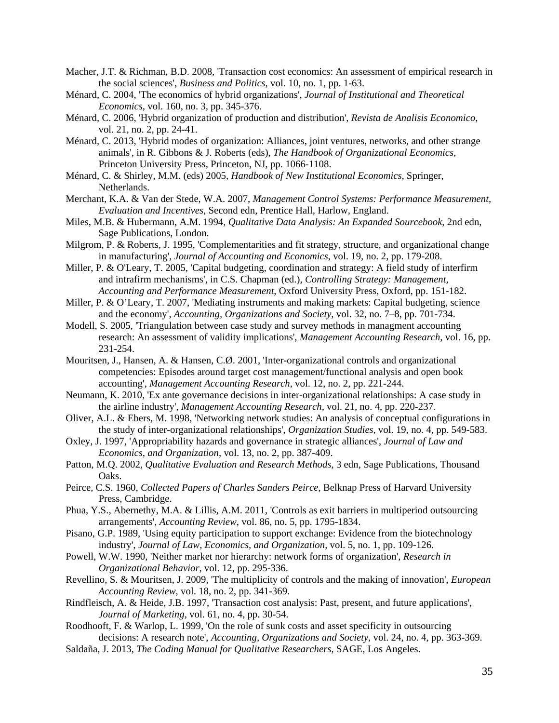- <span id="page-34-4"></span>Macher, J.T. & Richman, B.D. 2008, 'Transaction cost economics: An assessment of empirical research in the social sciences', *Business and Politics*, vol. 10, no. 1, pp. 1-63.
- <span id="page-34-1"></span>Ménard, C. 2004, 'The economics of hybrid organizations', *Journal of Institutional and Theoretical Economics*, vol. 160, no. 3, pp. 345-376.
- <span id="page-34-8"></span>Ménard, C. 2006, 'Hybrid organization of production and distribution', *Revista de Analisis Economico*, vol. 21, no. 2, pp. 24-41.
- <span id="page-34-2"></span>Ménard, C. 2013, 'Hybrid modes of organization: Alliances, joint ventures, networks, and other strange animals', in R. Gibbons & J. Roberts (eds), *The Handbook of Organizational Economics*, Princeton University Press, Princeton, NJ, pp. 1066-1108.
- <span id="page-34-9"></span>Ménard, C. & Shirley, M.M. (eds) 2005, *Handbook of New Institutional Economics*, Springer, Netherlands.
- <span id="page-34-19"></span>Merchant, K.A. & Van der Stede, W.A. 2007, *Management Control Systems: Performance Measurement, Evaluation and Incentives*, Second edn, Prentice Hall, Harlow, England.
- <span id="page-34-17"></span>Miles, M.B. & Hubermann, A.M. 1994, *Qualitative Data Analysis: An Expanded Sourcebook*, 2nd edn, Sage Publications, London.
- <span id="page-34-20"></span>Milgrom, P. & Roberts, J. 1995, 'Complementarities and fit strategy, structure, and organizational change in manufacturing', *Journal of Accounting and Economics*, vol. 19, no. 2, pp. 179-208.
- <span id="page-34-21"></span>Miller, P. & O'Leary, T. 2005, 'Capital budgeting, coordination and strategy: A field study of interfirm and intrafirm mechanisms', in C.S. Chapman (ed.), *Controlling Strategy: Management, Accounting and Performance Measurement*, Oxford University Press, Oxford, pp. 151-182.
- <span id="page-34-22"></span>Miller, P. & O'Leary, T. 2007, 'Mediating instruments and making markets: Capital budgeting, science and the economy', *Accounting, Organizations and Society*, vol. 32, no. 7–8, pp. 701-734.
- <span id="page-34-15"></span>Modell, S. 2005, 'Triangulation between case study and survey methods in managment accounting research: An assessment of validity implications', *Management Accounting Research*, vol. 16, pp. 231-254.
- <span id="page-34-12"></span>Mouritsen, J., Hansen, A. & Hansen, C.Ø. 2001, 'Inter-organizational controls and organizational competencies: Episodes around target cost management/functional analysis and open book accounting', *Management Accounting Research*, vol. 12, no. 2, pp. 221-244.
- <span id="page-34-0"></span>Neumann, K. 2010, 'Ex ante governance decisions in inter-organizational relationships: A case study in the airline industry', *Management Accounting Research*, vol. 21, no. 4, pp. 220-237.
- <span id="page-34-11"></span>Oliver, A.L. & Ebers, M. 1998, 'Networking network studies: An analysis of conceptual configurations in the study of inter-organizational relationships', *Organization Studies*, vol. 19, no. 4, pp. 549-583.
- <span id="page-34-3"></span>Oxley, J. 1997, 'Appropriability hazards and governance in strategic alliances', *Journal of Law and Economics, and Organization*, vol. 13, no. 2, pp. 387-409.
- <span id="page-34-16"></span>Patton, M.Q. 2002, *Qualitative Evaluation and Research Methods*, 3 edn, Sage Publications, Thousand Oaks.
- <span id="page-34-14"></span>Peirce, C.S. 1960, *Collected Papers of Charles Sanders Peirce*, Belknap Press of Harvard University Press, Cambridge.
- <span id="page-34-13"></span>Phua, Y.S., Abernethy, M.A. & Lillis, A.M. 2011, 'Controls as exit barriers in multiperiod outsourcing arrangements', *Accounting Review*, vol. 86, no. 5, pp. 1795-1834.
- <span id="page-34-5"></span>Pisano, G.P. 1989, 'Using equity participation to support exchange: Evidence from the biotechnology industry', *Journal of Law, Economics, and Organization*, vol. 5, no. 1, pp. 109-126.
- <span id="page-34-10"></span>Powell, W.W. 1990, 'Neither market nor hierarchy: network forms of organization', *Research in Organizational Behavior*, vol. 12, pp. 295-336.
- <span id="page-34-23"></span>Revellino, S. & Mouritsen, J. 2009, 'The multiplicity of controls and the making of innovation', *European Accounting Review*, vol. 18, no. 2, pp. 341-369.
- <span id="page-34-6"></span>Rindfleisch, A. & Heide, J.B. 1997, 'Transaction cost analysis: Past, present, and future applications', *Journal of Marketing*, vol. 61, no. 4, pp. 30-54.
- <span id="page-34-7"></span>Roodhooft, F. & Warlop, L. 1999, 'On the role of sunk costs and asset specificity in outsourcing decisions: A research note', *Accounting, Organizations and Society*, vol. 24, no. 4, pp. 363-369.
- <span id="page-34-18"></span>Saldaña, J. 2013, *The Coding Manual for Qualitative Researchers*, SAGE, Los Angeles.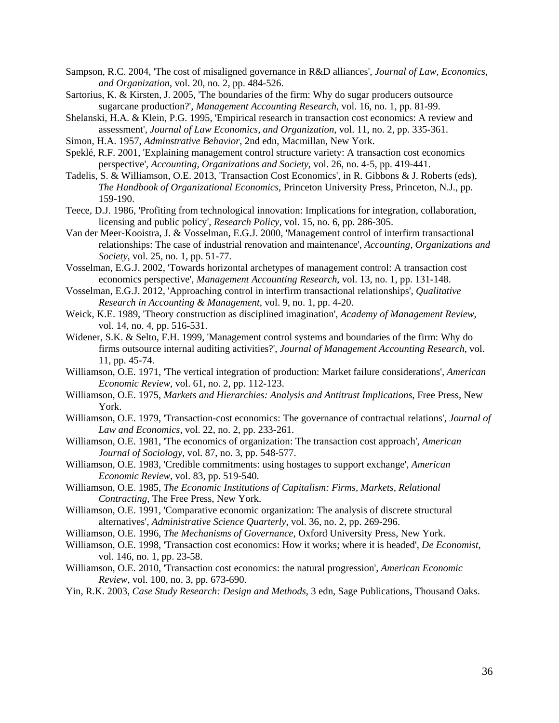- <span id="page-35-9"></span>Sampson, R.C. 2004, 'The cost of misaligned governance in R&D alliances', *Journal of Law, Economics, and Organization*, vol. 20, no. 2, pp. 484-526.
- <span id="page-35-17"></span>Sartorius, K. & Kirsten, J. 2005, 'The boundaries of the firm: Why do sugar producers outsource sugarcane production?', *Management Accounting Research*, vol. 16, no. 1, pp. 81-99.
- <span id="page-35-6"></span>Shelanski, H.A. & Klein, P.G. 1995, 'Empirical research in transaction cost economics: A review and assessment', *Journal of Law Economics, and Organization*, vol. 11, no. 2, pp. 335-361.
- <span id="page-35-4"></span>Simon, H.A. 1957, *Adminstrative Behavior*, 2nd edn, Macmillan, New York.
- <span id="page-35-3"></span>Speklé, R.F. 2001, 'Explaining management control structure variety: A transaction cost economics perspective', *Accounting, Organizations and Society*, vol. 26, no. 4-5, pp. 419-441.
- <span id="page-35-7"></span>Tadelis, S. & Williamson, O.E. 2013, 'Transaction Cost Economics', in R. Gibbons & J. Roberts (eds), *The Handbook of Organizational Economics*, Princeton University Press, Princeton, N.J., pp. 159-190.
- <span id="page-35-11"></span>Teece, D.J. 1986, 'Profiting from technological innovation: Implications for integration, collaboration, licensing and public policy', *Research Policy*, vol. 15, no. 6, pp. 286-305.
- <span id="page-35-1"></span>Van der Meer-Kooistra, J. & Vosselman, E.G.J. 2000, 'Management control of interfirm transactional relationships: The case of industrial renovation and maintenance', *Accounting, Organizations and Society*, vol. 25, no. 1, pp. 51-77.
- <span id="page-35-18"></span>Vosselman, E.G.J. 2002, 'Towards horizontal archetypes of management control: A transaction cost economics perspective', *Management Accounting Research*, vol. 13, no. 1, pp. 131-148.
- <span id="page-35-10"></span>Vosselman, E.G.J. 2012, 'Approaching control in interfirm transactional relationships', *Qualitative Research in Accounting & Management*, vol. 9, no. 1, pp. 4-20.
- <span id="page-35-22"></span>Weick, K.E. 1989, 'Theory construction as disciplined imagination', *Academy of Management Review*, vol. 14, no. 4, pp. 516-531.
- <span id="page-35-14"></span>Widener, S.K. & Selto, F.H. 1999, 'Management control systems and boundaries of the firm: Why do firms outsource internal auditing activities?', *Journal of Management Accounting Research*, vol. 11, pp. 45-74.
- <span id="page-35-12"></span>Williamson, O.E. 1971, 'The vertical integration of production: Market failure considerations', *American Economic Review*, vol. 61, no. 2, pp. 112-123.
- <span id="page-35-13"></span>Williamson, O.E. 1975, *Markets and Hierarchies: Analysis and Antitrust Implications*, Free Press, New York.
- <span id="page-35-5"></span>Williamson, O.E. 1979, 'Transaction-cost economics: The governance of contractual relations', *Journal of Law and Economics*, vol. 22, no. 2, pp. 233-261.
- <span id="page-35-21"></span>Williamson, O.E. 1981, 'The economics of organization: The transaction cost approach', *American Journal of Sociology*, vol. 87, no. 3, pp. 548-577.
- <span id="page-35-15"></span>Williamson, O.E. 1983, 'Credible commitments: using hostages to support exchange', *American Economic Review*, vol. 83, pp. 519-540.
- <span id="page-35-0"></span>Williamson, O.E. 1985, *The Economic Institutions of Capitalism: Firms, Markets, Relational Contracting*, The Free Press, New York.
- <span id="page-35-2"></span>Williamson, O.E. 1991, 'Comparative economic organization: The analysis of discrete structural alternatives', *Administrative Science Quarterly*, vol. 36, no. 2, pp. 269-296.
- <span id="page-35-16"></span>Williamson, O.E. 1996, *The Mechanisms of Governance*, Oxford University Press, New York.
- <span id="page-35-8"></span>Williamson, O.E. 1998, 'Transaction cost economics: How it works; where it is headed', *De Economist*, vol. 146, no. 1, pp. 23-58.
- <span id="page-35-19"></span>Williamson, O.E. 2010, 'Transaction cost economics: the natural progression', *American Economic Review*, vol. 100, no. 3, pp. 673-690.
- <span id="page-35-20"></span>Yin, R.K. 2003, *Case Study Research: Design and Methods*, 3 edn, Sage Publications, Thousand Oaks.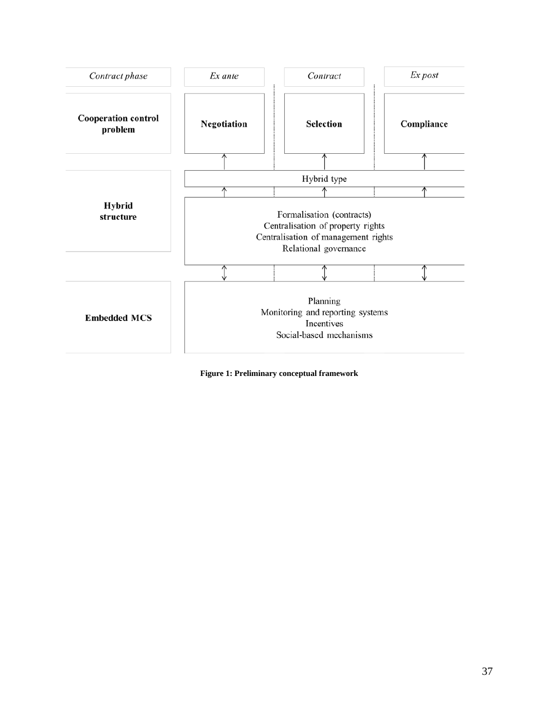

<span id="page-36-0"></span>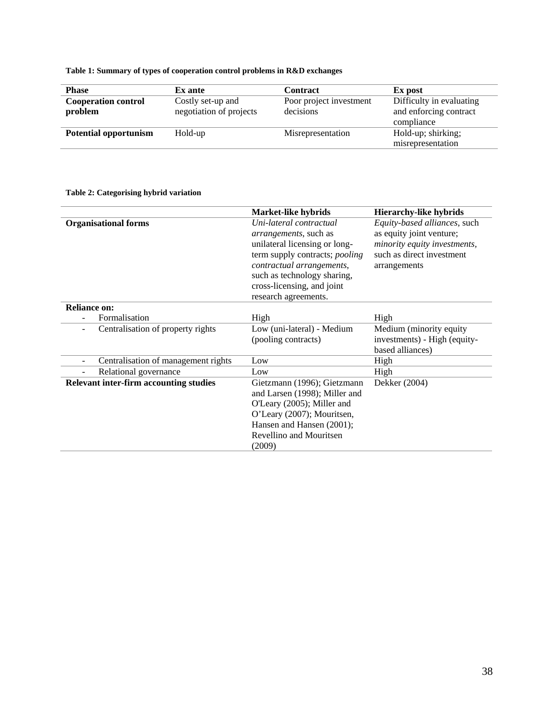**Table 1: Summary of types of cooperation control problems in R&D exchanges**

| <b>Phase</b>                          | Ex ante                                      | <b>Contract</b>                      | Ex post                                                          |
|---------------------------------------|----------------------------------------------|--------------------------------------|------------------------------------------------------------------|
| <b>Cooperation control</b><br>problem | Costly set-up and<br>negotiation of projects | Poor project investment<br>decisions | Difficulty in evaluating<br>and enforcing contract<br>compliance |
| <b>Potential opportunism</b>          | Hold-up                                      | Misrepresentation                    | Hold-up; shirking;<br>misrepresentation                          |

## **Table 2: Categorising hybrid variation**

|                                                               | Market-like hybrids            | <b>Hierarchy-like hybrids</b>       |
|---------------------------------------------------------------|--------------------------------|-------------------------------------|
| <b>Organisational forms</b>                                   | Uni-lateral contractual        | <i>Equity-based alliances, such</i> |
|                                                               | arrangements, such as          | as equity joint venture;            |
|                                                               | unilateral licensing or long-  | minority equity investments,        |
|                                                               | term supply contracts; pooling | such as direct investment           |
|                                                               | contractual arrangements,      | arrangements                        |
|                                                               | such as technology sharing,    |                                     |
|                                                               | cross-licensing, and joint     |                                     |
|                                                               | research agreements.           |                                     |
| <b>Reliance on:</b>                                           |                                |                                     |
| Formalisation                                                 | High                           | High                                |
| Centralisation of property rights<br>$\overline{\phantom{a}}$ | Low (uni-lateral) - Medium     | Medium (minority equity)            |
|                                                               | (pooling contracts)            | investments) - High (equity-        |
|                                                               |                                | based alliances)                    |
| Centralisation of management rights                           | Low                            | High                                |
| Relational governance                                         | Low                            | High                                |
| <b>Relevant inter-firm accounting studies</b>                 | Gietzmann (1996); Gietzmann    | Dekker (2004)                       |
|                                                               | and Larsen (1998); Miller and  |                                     |
|                                                               | O'Leary (2005); Miller and     |                                     |
|                                                               | O'Leary (2007); Mouritsen,     |                                     |
|                                                               | Hansen and Hansen (2001);      |                                     |
|                                                               | Revellino and Mouritsen        |                                     |
|                                                               | (2009)                         |                                     |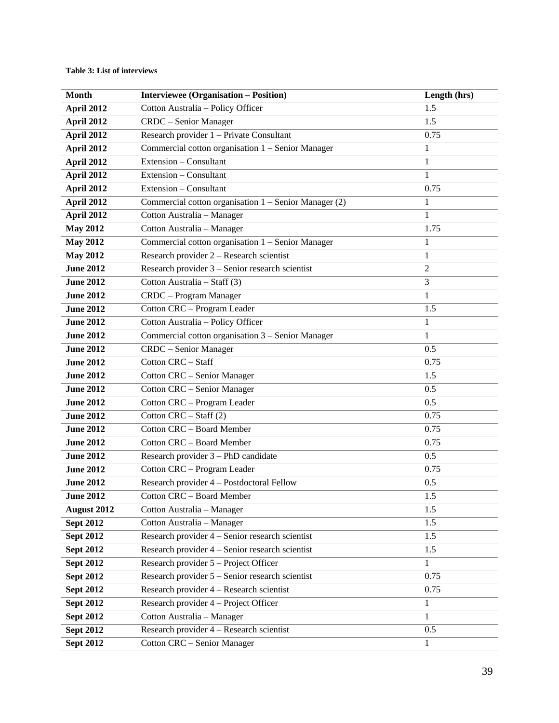## **Table 3: List of interviews**

| <b>Month</b>     | <b>Interviewee (Organisation - Position)</b>          | Length (hrs)   |
|------------------|-------------------------------------------------------|----------------|
| April 2012       | Cotton Australia - Policy Officer                     | 1.5            |
| April 2012       | CRDC - Senior Manager                                 | 1.5            |
| April 2012       | Research provider 1 - Private Consultant              | 0.75           |
| April 2012       | Commercial cotton organisation 1 – Senior Manager     | $\mathbf{1}$   |
| April 2012       | Extension - Consultant                                | 1              |
| April 2012       | Extension - Consultant                                | $\mathbf{1}$   |
| April 2012       | Extension - Consultant                                | 0.75           |
| April 2012       | Commercial cotton organisation 1 - Senior Manager (2) | $\mathbf{1}$   |
| April 2012       | Cotton Australia - Manager                            | 1              |
| <b>May 2012</b>  | Cotton Australia - Manager                            | 1.75           |
| <b>May 2012</b>  | Commercial cotton organisation 1 - Senior Manager     | 1              |
| <b>May 2012</b>  | Research provider 2 - Research scientist              | $\mathbf{1}$   |
| <b>June 2012</b> | Research provider 3 – Senior research scientist       | $\overline{2}$ |
| <b>June 2012</b> | Cotton Australia - Staff (3)                          | 3              |
| <b>June 2012</b> | CRDC - Program Manager                                | $\mathbf{1}$   |
| <b>June 2012</b> | Cotton CRC - Program Leader                           | 1.5            |
| <b>June 2012</b> | Cotton Australia - Policy Officer                     | $\mathbf{1}$   |
| <b>June 2012</b> | Commercial cotton organisation 3 - Senior Manager     | 1              |
| <b>June 2012</b> | CRDC - Senior Manager                                 | 0.5            |
| <b>June 2012</b> | Cotton CRC - Staff                                    | 0.75           |
| <b>June 2012</b> | <b>Cotton CRC - Senior Manager</b>                    | 1.5            |
| <b>June 2012</b> | <b>Cotton CRC - Senior Manager</b>                    | 0.5            |
| <b>June 2012</b> | Cotton CRC - Program Leader                           | 0.5            |
| <b>June 2012</b> | Cotton $CRC - Staff(2)$                               | 0.75           |
| <b>June 2012</b> | Cotton CRC - Board Member                             | 0.75           |
| <b>June 2012</b> | <b>Cotton CRC - Board Member</b>                      | 0.75           |
| <b>June 2012</b> | Research provider 3 – PhD candidate                   | 0.5            |
| <b>June 2012</b> | Cotton CRC - Program Leader                           | 0.75           |
| <b>June 2012</b> | Research provider 4 - Postdoctoral Fellow             | 0.5            |
| <b>June 2012</b> | Cotton CRC - Board Member                             | $1.5\,$        |
| August 2012      | Cotton Australia - Manager                            | 1.5            |
| <b>Sept 2012</b> | Cotton Australia - Manager                            | 1.5            |
| Sept $2012$      | Research provider 4 - Senior research scientist       | 1.5            |
| <b>Sept 2012</b> | Research provider 4 – Senior research scientist       | 1.5            |
| <b>Sept 2012</b> | Research provider 5 – Project Officer                 | 1              |
| <b>Sept 2012</b> | Research provider 5 – Senior research scientist       | 0.75           |
| <b>Sept 2012</b> | Research provider 4 - Research scientist              | 0.75           |
| <b>Sept 2012</b> | Research provider 4 – Project Officer                 | $\mathbf{1}$   |
| <b>Sept 2012</b> | Cotton Australia - Manager<br>1                       |                |
| <b>Sept 2012</b> | Research provider 4 - Research scientist              | 0.5            |
| <b>Sept 2012</b> | <b>Cotton CRC - Senior Manager</b>                    | $\mathbf{1}$   |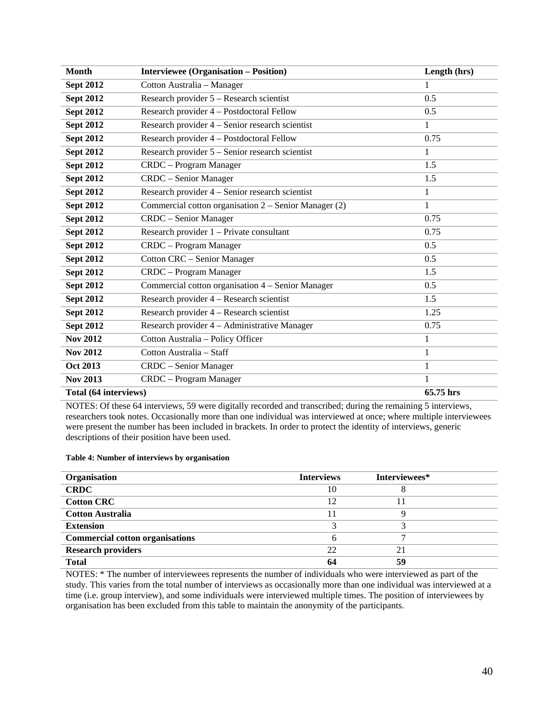| <b>Month</b>          | <b>Interviewee (Organisation - Position)</b>          | Length (hrs) |
|-----------------------|-------------------------------------------------------|--------------|
| <b>Sept 2012</b>      | Cotton Australia - Manager                            | 1            |
| <b>Sept 2012</b>      | Research provider 5 – Research scientist              | 0.5          |
| <b>Sept 2012</b>      | Research provider 4 - Postdoctoral Fellow             | 0.5          |
| <b>Sept 2012</b>      | Research provider 4 – Senior research scientist       | 1            |
| <b>Sept 2012</b>      | Research provider 4 - Postdoctoral Fellow             | 0.75         |
| <b>Sept 2012</b>      | Research provider 5 – Senior research scientist       | 1            |
| <b>Sept 2012</b>      | CRDC - Program Manager                                | 1.5          |
| <b>Sept 2012</b>      | CRDC - Senior Manager                                 | 1.5          |
| <b>Sept 2012</b>      | Research provider 4 – Senior research scientist       | $\mathbf{1}$ |
| <b>Sept 2012</b>      | Commercial cotton organisation 2 – Senior Manager (2) | $\mathbf{1}$ |
| <b>Sept 2012</b>      | CRDC - Senior Manager                                 | 0.75         |
| <b>Sept 2012</b>      | Research provider 1 – Private consultant              | 0.75         |
| <b>Sept 2012</b>      | CRDC - Program Manager                                | 0.5          |
| <b>Sept 2012</b>      | Cotton CRC - Senior Manager                           | 0.5          |
| <b>Sept 2012</b>      | CRDC - Program Manager                                | 1.5          |
| <b>Sept 2012</b>      | Commercial cotton organisation 4 – Senior Manager     | 0.5          |
| <b>Sept 2012</b>      | Research provider 4 – Research scientist              | 1.5          |
| <b>Sept 2012</b>      | Research provider 4 – Research scientist              | 1.25         |
| <b>Sept 2012</b>      | Research provider 4 – Administrative Manager          | 0.75         |
| <b>Nov 2012</b>       | Cotton Australia - Policy Officer                     | 1            |
| <b>Nov 2012</b>       | Cotton Australia - Staff                              | 1            |
| <b>Oct 2013</b>       | CRDC - Senior Manager                                 | $\mathbf{1}$ |
| <b>Nov 2013</b>       | CRDC - Program Manager                                | 1            |
| Total (64 interviews) |                                                       | 65.75 hrs    |

NOTES: Of these 64 interviews, 59 were digitally recorded and transcribed; during the remaining 5 interviews, researchers took notes. Occasionally more than one individual was interviewed at once; where multiple interviewees were present the number has been included in brackets. In order to protect the identity of interviews, generic descriptions of their position have been used.

#### **Table 4: Number of interviews by organisation**

| Organisation                           | <b>Interviews</b> | Interviewees* |  |
|----------------------------------------|-------------------|---------------|--|
| <b>CRDC</b>                            | 10                |               |  |
| <b>Cotton CRC</b>                      | 12                |               |  |
| <b>Cotton Australia</b>                | 11                |               |  |
| <b>Extension</b>                       |                   |               |  |
| <b>Commercial cotton organisations</b> |                   |               |  |
| <b>Research providers</b>              | 22                | 21            |  |
| <b>Total</b>                           | 64                | 59            |  |

NOTES: \* The number of interviewees represents the number of individuals who were interviewed as part of the study. This varies from the total number of interviews as occasionally more than one individual was interviewed at a time (i.e. group interview), and some individuals were interviewed multiple times. The position of interviewees by organisation has been excluded from this table to maintain the anonymity of the participants.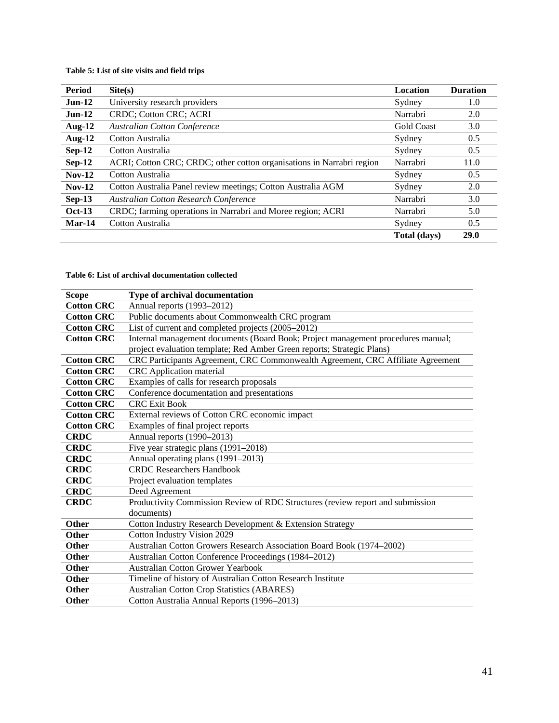## <span id="page-40-0"></span>**Table 5: List of site visits and field trips**

| Period        | $\text{Site}(s)$                                                      | <b>Location</b>   | <b>Duration</b> |
|---------------|-----------------------------------------------------------------------|-------------------|-----------------|
| <b>Jun-12</b> | University research providers                                         | Sydney            | 1.0             |
| $Jun-12$      | <b>CRDC: Cotton CRC: ACRI</b>                                         | Narrabri          | 2.0             |
| <b>Aug-12</b> | <b>Australian Cotton Conference</b>                                   | <b>Gold Coast</b> | 3.0             |
| <b>Aug-12</b> | Cotton Australia                                                      | Sydney            | 0.5             |
| $Sep-12$      | Cotton Australia                                                      | Sydney            | 0.5             |
| $Sep-12$      | ACRI; Cotton CRC; CRDC; other cotton organisations in Narrabri region | Narrabri          | 11.0            |
| $Nov-12$      | Cotton Australia                                                      | Sydney            | 0.5             |
| $Nov-12$      | Cotton Australia Panel review meetings; Cotton Australia AGM          | Sydney            | 2.0             |
| $Sep-13$      | <b>Australian Cotton Research Conference</b>                          | Narrabri          | 3.0             |
| <b>Oct-13</b> | CRDC; farming operations in Narrabri and Moree region; ACRI           | Narrabri          | 5.0             |
| Mar-14        | Cotton Australia                                                      | Sydney            | 0.5             |
|               |                                                                       | Total (days)      | 29.0            |

#### <span id="page-40-1"></span>**Table 6: List of archival documentation collected**

| <b>Scope</b>      | <b>Type of archival documentation</b>                                            |
|-------------------|----------------------------------------------------------------------------------|
| <b>Cotton CRC</b> | Annual reports (1993-2012)                                                       |
| <b>Cotton CRC</b> | Public documents about Commonwealth CRC program                                  |
| <b>Cotton CRC</b> | List of current and completed projects (2005–2012)                               |
| <b>Cotton CRC</b> | Internal management documents (Board Book; Project management procedures manual; |
|                   | project evaluation template; Red Amber Green reports; Strategic Plans)           |
| <b>Cotton CRC</b> | CRC Participants Agreement, CRC Commonwealth Agreement, CRC Affiliate Agreement  |
| <b>Cotton CRC</b> | <b>CRC</b> Application material                                                  |
| <b>Cotton CRC</b> | Examples of calls for research proposals                                         |
| <b>Cotton CRC</b> | Conference documentation and presentations                                       |
| <b>Cotton CRC</b> | <b>CRC Exit Book</b>                                                             |
| <b>Cotton CRC</b> | External reviews of Cotton CRC economic impact                                   |
| <b>Cotton CRC</b> | Examples of final project reports                                                |
| <b>CRDC</b>       | Annual reports (1990–2013)                                                       |
| <b>CRDC</b>       | Five year strategic plans (1991–2018)                                            |
| <b>CRDC</b>       | Annual operating plans (1991–2013)                                               |
| <b>CRDC</b>       | <b>CRDC</b> Researchers Handbook                                                 |
| <b>CRDC</b>       | Project evaluation templates                                                     |
| <b>CRDC</b>       | Deed Agreement                                                                   |
| <b>CRDC</b>       | Productivity Commission Review of RDC Structures (review report and submission   |
|                   | documents)                                                                       |
| <b>Other</b>      | Cotton Industry Research Development & Extension Strategy                        |
| <b>Other</b>      | Cotton Industry Vision 2029                                                      |
| <b>Other</b>      | Australian Cotton Growers Research Association Board Book (1974–2002)            |
| <b>Other</b>      | Australian Cotton Conference Proceedings (1984-2012)                             |
| Other             | <b>Australian Cotton Grower Yearbook</b>                                         |
| <b>Other</b>      | Timeline of history of Australian Cotton Research Institute                      |
| <b>Other</b>      | <b>Australian Cotton Crop Statistics (ABARES)</b>                                |
| Other             | Cotton Australia Annual Reports (1996–2013)                                      |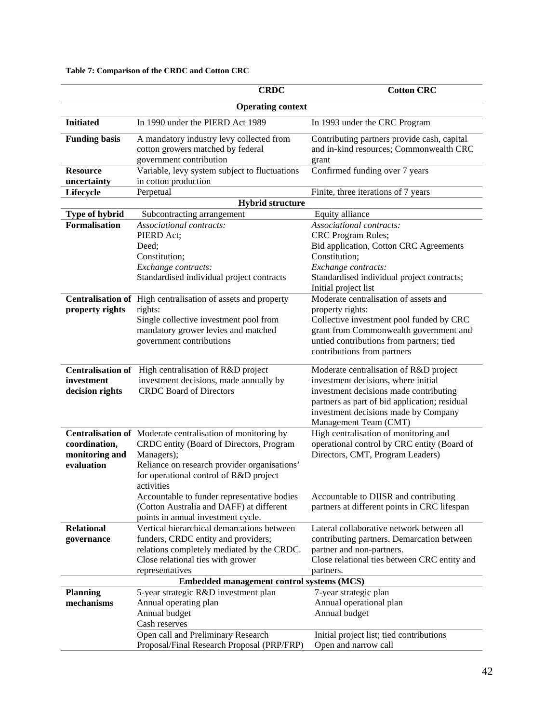| <b>Operating context</b><br><b>Initiated</b><br>In 1990 under the PIERD Act 1989<br>In 1993 under the CRC Program<br><b>Funding basis</b><br>A mandatory industry levy collected from<br>Contributing partners provide cash, capital<br>and in-kind resources; Commonwealth CRC<br>cotton growers matched by federal<br>government contribution<br>grant<br>Variable, levy system subject to fluctuations<br>Confirmed funding over 7 years<br><b>Resource</b><br>in cotton production<br>uncertainty<br>Lifecycle<br>Perpetual<br>Finite, three iterations of 7 years<br><b>Hybrid structure</b><br>Type of hybrid<br>Equity alliance<br>Subcontracting arrangement<br><b>Formalisation</b><br>Associational contracts:<br>Associational contracts:<br>PIERD Act;<br><b>CRC</b> Program Rules;<br>Bid application, Cotton CRC Agreements<br>Deed;<br>Constitution;<br>Constitution;<br>Exchange contracts:<br>Exchange contracts:<br>Standardised individual project contracts<br>Standardised individual project contracts;<br>Initial project list<br>Moderate centralisation of assets and<br>Centralisation of High centralisation of assets and property<br>property rights<br>rights:<br>property rights:<br>Single collective investment pool from<br>Collective investment pool funded by CRC<br>grant from Commonwealth government and<br>mandatory grower levies and matched<br>untied contributions from partners; tied<br>government contributions<br>contributions from partners<br>Centralisation of High centralisation of R&D project<br>Moderate centralisation of R&D project<br>investment decisions, made annually by<br>investment decisions, where initial<br>investment<br><b>CRDC</b> Board of Directors<br>decision rights<br>investment decisions made contributing<br>partners as part of bid application; residual<br>investment decisions made by Company<br>Management Team (CMT)<br>High centralisation of monitoring and<br>Centralisation of Moderate centralisation of monitoring by<br>operational control by CRC entity (Board of<br>coordination,<br>CRDC entity (Board of Directors, Program<br>Directors, CMT, Program Leaders)<br>monitoring and<br>Managers);<br>evaluation<br>Reliance on research provider organisations'<br>for operational control of R&D project<br>activities<br>Accountable to DIISR and contributing<br>Accountable to funder representative bodies<br>(Cotton Australia and DAFF) at different<br>partners at different points in CRC lifespan<br>points in annual investment cycle.<br><b>Relational</b><br>Lateral collaborative network between all<br>Vertical hierarchical demarcations between<br>funders, CRDC entity and providers;<br>contributing partners. Demarcation between<br>governance<br>relations completely mediated by the CRDC.<br>partner and non-partners.<br>Close relational ties between CRC entity and<br>Close relational ties with grower<br>representatives<br>partners.<br><b>Embedded management control systems (MCS)</b><br><b>Planning</b><br>5-year strategic R&D investment plan<br>7-year strategic plan<br>mechanisms<br>Annual operating plan<br>Annual operational plan<br>Annual budget<br>Annual budget<br>Cash reserves<br>Open call and Preliminary Research<br>Initial project list; tied contributions |  | <b>CRDC</b>                                | <b>Cotton CRC</b>    |  |  |
|---------------------------------------------------------------------------------------------------------------------------------------------------------------------------------------------------------------------------------------------------------------------------------------------------------------------------------------------------------------------------------------------------------------------------------------------------------------------------------------------------------------------------------------------------------------------------------------------------------------------------------------------------------------------------------------------------------------------------------------------------------------------------------------------------------------------------------------------------------------------------------------------------------------------------------------------------------------------------------------------------------------------------------------------------------------------------------------------------------------------------------------------------------------------------------------------------------------------------------------------------------------------------------------------------------------------------------------------------------------------------------------------------------------------------------------------------------------------------------------------------------------------------------------------------------------------------------------------------------------------------------------------------------------------------------------------------------------------------------------------------------------------------------------------------------------------------------------------------------------------------------------------------------------------------------------------------------------------------------------------------------------------------------------------------------------------------------------------------------------------------------------------------------------------------------------------------------------------------------------------------------------------------------------------------------------------------------------------------------------------------------------------------------------------------------------------------------------------------------------------------------------------------------------------------------------------------------------------------------------------------------------------------------------------------------------------------------------------------------------------------------------------------------------------------------------------------------------------------------------------------------------------------------------------------------------------------------------------------------------------------------------------------------------------------------------------------------------------------------------------------------------------------------------------------------------------------------------------------------------------------------------------------------------------------------------------------|--|--------------------------------------------|----------------------|--|--|
|                                                                                                                                                                                                                                                                                                                                                                                                                                                                                                                                                                                                                                                                                                                                                                                                                                                                                                                                                                                                                                                                                                                                                                                                                                                                                                                                                                                                                                                                                                                                                                                                                                                                                                                                                                                                                                                                                                                                                                                                                                                                                                                                                                                                                                                                                                                                                                                                                                                                                                                                                                                                                                                                                                                                                                                                                                                                                                                                                                                                                                                                                                                                                                                                                                                                                                                           |  |                                            |                      |  |  |
|                                                                                                                                                                                                                                                                                                                                                                                                                                                                                                                                                                                                                                                                                                                                                                                                                                                                                                                                                                                                                                                                                                                                                                                                                                                                                                                                                                                                                                                                                                                                                                                                                                                                                                                                                                                                                                                                                                                                                                                                                                                                                                                                                                                                                                                                                                                                                                                                                                                                                                                                                                                                                                                                                                                                                                                                                                                                                                                                                                                                                                                                                                                                                                                                                                                                                                                           |  |                                            |                      |  |  |
|                                                                                                                                                                                                                                                                                                                                                                                                                                                                                                                                                                                                                                                                                                                                                                                                                                                                                                                                                                                                                                                                                                                                                                                                                                                                                                                                                                                                                                                                                                                                                                                                                                                                                                                                                                                                                                                                                                                                                                                                                                                                                                                                                                                                                                                                                                                                                                                                                                                                                                                                                                                                                                                                                                                                                                                                                                                                                                                                                                                                                                                                                                                                                                                                                                                                                                                           |  |                                            |                      |  |  |
|                                                                                                                                                                                                                                                                                                                                                                                                                                                                                                                                                                                                                                                                                                                                                                                                                                                                                                                                                                                                                                                                                                                                                                                                                                                                                                                                                                                                                                                                                                                                                                                                                                                                                                                                                                                                                                                                                                                                                                                                                                                                                                                                                                                                                                                                                                                                                                                                                                                                                                                                                                                                                                                                                                                                                                                                                                                                                                                                                                                                                                                                                                                                                                                                                                                                                                                           |  |                                            |                      |  |  |
|                                                                                                                                                                                                                                                                                                                                                                                                                                                                                                                                                                                                                                                                                                                                                                                                                                                                                                                                                                                                                                                                                                                                                                                                                                                                                                                                                                                                                                                                                                                                                                                                                                                                                                                                                                                                                                                                                                                                                                                                                                                                                                                                                                                                                                                                                                                                                                                                                                                                                                                                                                                                                                                                                                                                                                                                                                                                                                                                                                                                                                                                                                                                                                                                                                                                                                                           |  |                                            |                      |  |  |
|                                                                                                                                                                                                                                                                                                                                                                                                                                                                                                                                                                                                                                                                                                                                                                                                                                                                                                                                                                                                                                                                                                                                                                                                                                                                                                                                                                                                                                                                                                                                                                                                                                                                                                                                                                                                                                                                                                                                                                                                                                                                                                                                                                                                                                                                                                                                                                                                                                                                                                                                                                                                                                                                                                                                                                                                                                                                                                                                                                                                                                                                                                                                                                                                                                                                                                                           |  |                                            |                      |  |  |
|                                                                                                                                                                                                                                                                                                                                                                                                                                                                                                                                                                                                                                                                                                                                                                                                                                                                                                                                                                                                                                                                                                                                                                                                                                                                                                                                                                                                                                                                                                                                                                                                                                                                                                                                                                                                                                                                                                                                                                                                                                                                                                                                                                                                                                                                                                                                                                                                                                                                                                                                                                                                                                                                                                                                                                                                                                                                                                                                                                                                                                                                                                                                                                                                                                                                                                                           |  |                                            |                      |  |  |
|                                                                                                                                                                                                                                                                                                                                                                                                                                                                                                                                                                                                                                                                                                                                                                                                                                                                                                                                                                                                                                                                                                                                                                                                                                                                                                                                                                                                                                                                                                                                                                                                                                                                                                                                                                                                                                                                                                                                                                                                                                                                                                                                                                                                                                                                                                                                                                                                                                                                                                                                                                                                                                                                                                                                                                                                                                                                                                                                                                                                                                                                                                                                                                                                                                                                                                                           |  |                                            |                      |  |  |
|                                                                                                                                                                                                                                                                                                                                                                                                                                                                                                                                                                                                                                                                                                                                                                                                                                                                                                                                                                                                                                                                                                                                                                                                                                                                                                                                                                                                                                                                                                                                                                                                                                                                                                                                                                                                                                                                                                                                                                                                                                                                                                                                                                                                                                                                                                                                                                                                                                                                                                                                                                                                                                                                                                                                                                                                                                                                                                                                                                                                                                                                                                                                                                                                                                                                                                                           |  |                                            |                      |  |  |
|                                                                                                                                                                                                                                                                                                                                                                                                                                                                                                                                                                                                                                                                                                                                                                                                                                                                                                                                                                                                                                                                                                                                                                                                                                                                                                                                                                                                                                                                                                                                                                                                                                                                                                                                                                                                                                                                                                                                                                                                                                                                                                                                                                                                                                                                                                                                                                                                                                                                                                                                                                                                                                                                                                                                                                                                                                                                                                                                                                                                                                                                                                                                                                                                                                                                                                                           |  |                                            |                      |  |  |
|                                                                                                                                                                                                                                                                                                                                                                                                                                                                                                                                                                                                                                                                                                                                                                                                                                                                                                                                                                                                                                                                                                                                                                                                                                                                                                                                                                                                                                                                                                                                                                                                                                                                                                                                                                                                                                                                                                                                                                                                                                                                                                                                                                                                                                                                                                                                                                                                                                                                                                                                                                                                                                                                                                                                                                                                                                                                                                                                                                                                                                                                                                                                                                                                                                                                                                                           |  |                                            |                      |  |  |
|                                                                                                                                                                                                                                                                                                                                                                                                                                                                                                                                                                                                                                                                                                                                                                                                                                                                                                                                                                                                                                                                                                                                                                                                                                                                                                                                                                                                                                                                                                                                                                                                                                                                                                                                                                                                                                                                                                                                                                                                                                                                                                                                                                                                                                                                                                                                                                                                                                                                                                                                                                                                                                                                                                                                                                                                                                                                                                                                                                                                                                                                                                                                                                                                                                                                                                                           |  |                                            |                      |  |  |
|                                                                                                                                                                                                                                                                                                                                                                                                                                                                                                                                                                                                                                                                                                                                                                                                                                                                                                                                                                                                                                                                                                                                                                                                                                                                                                                                                                                                                                                                                                                                                                                                                                                                                                                                                                                                                                                                                                                                                                                                                                                                                                                                                                                                                                                                                                                                                                                                                                                                                                                                                                                                                                                                                                                                                                                                                                                                                                                                                                                                                                                                                                                                                                                                                                                                                                                           |  |                                            |                      |  |  |
|                                                                                                                                                                                                                                                                                                                                                                                                                                                                                                                                                                                                                                                                                                                                                                                                                                                                                                                                                                                                                                                                                                                                                                                                                                                                                                                                                                                                                                                                                                                                                                                                                                                                                                                                                                                                                                                                                                                                                                                                                                                                                                                                                                                                                                                                                                                                                                                                                                                                                                                                                                                                                                                                                                                                                                                                                                                                                                                                                                                                                                                                                                                                                                                                                                                                                                                           |  |                                            |                      |  |  |
|                                                                                                                                                                                                                                                                                                                                                                                                                                                                                                                                                                                                                                                                                                                                                                                                                                                                                                                                                                                                                                                                                                                                                                                                                                                                                                                                                                                                                                                                                                                                                                                                                                                                                                                                                                                                                                                                                                                                                                                                                                                                                                                                                                                                                                                                                                                                                                                                                                                                                                                                                                                                                                                                                                                                                                                                                                                                                                                                                                                                                                                                                                                                                                                                                                                                                                                           |  |                                            |                      |  |  |
|                                                                                                                                                                                                                                                                                                                                                                                                                                                                                                                                                                                                                                                                                                                                                                                                                                                                                                                                                                                                                                                                                                                                                                                                                                                                                                                                                                                                                                                                                                                                                                                                                                                                                                                                                                                                                                                                                                                                                                                                                                                                                                                                                                                                                                                                                                                                                                                                                                                                                                                                                                                                                                                                                                                                                                                                                                                                                                                                                                                                                                                                                                                                                                                                                                                                                                                           |  |                                            |                      |  |  |
|                                                                                                                                                                                                                                                                                                                                                                                                                                                                                                                                                                                                                                                                                                                                                                                                                                                                                                                                                                                                                                                                                                                                                                                                                                                                                                                                                                                                                                                                                                                                                                                                                                                                                                                                                                                                                                                                                                                                                                                                                                                                                                                                                                                                                                                                                                                                                                                                                                                                                                                                                                                                                                                                                                                                                                                                                                                                                                                                                                                                                                                                                                                                                                                                                                                                                                                           |  |                                            |                      |  |  |
|                                                                                                                                                                                                                                                                                                                                                                                                                                                                                                                                                                                                                                                                                                                                                                                                                                                                                                                                                                                                                                                                                                                                                                                                                                                                                                                                                                                                                                                                                                                                                                                                                                                                                                                                                                                                                                                                                                                                                                                                                                                                                                                                                                                                                                                                                                                                                                                                                                                                                                                                                                                                                                                                                                                                                                                                                                                                                                                                                                                                                                                                                                                                                                                                                                                                                                                           |  |                                            |                      |  |  |
|                                                                                                                                                                                                                                                                                                                                                                                                                                                                                                                                                                                                                                                                                                                                                                                                                                                                                                                                                                                                                                                                                                                                                                                                                                                                                                                                                                                                                                                                                                                                                                                                                                                                                                                                                                                                                                                                                                                                                                                                                                                                                                                                                                                                                                                                                                                                                                                                                                                                                                                                                                                                                                                                                                                                                                                                                                                                                                                                                                                                                                                                                                                                                                                                                                                                                                                           |  |                                            |                      |  |  |
|                                                                                                                                                                                                                                                                                                                                                                                                                                                                                                                                                                                                                                                                                                                                                                                                                                                                                                                                                                                                                                                                                                                                                                                                                                                                                                                                                                                                                                                                                                                                                                                                                                                                                                                                                                                                                                                                                                                                                                                                                                                                                                                                                                                                                                                                                                                                                                                                                                                                                                                                                                                                                                                                                                                                                                                                                                                                                                                                                                                                                                                                                                                                                                                                                                                                                                                           |  |                                            |                      |  |  |
|                                                                                                                                                                                                                                                                                                                                                                                                                                                                                                                                                                                                                                                                                                                                                                                                                                                                                                                                                                                                                                                                                                                                                                                                                                                                                                                                                                                                                                                                                                                                                                                                                                                                                                                                                                                                                                                                                                                                                                                                                                                                                                                                                                                                                                                                                                                                                                                                                                                                                                                                                                                                                                                                                                                                                                                                                                                                                                                                                                                                                                                                                                                                                                                                                                                                                                                           |  |                                            |                      |  |  |
|                                                                                                                                                                                                                                                                                                                                                                                                                                                                                                                                                                                                                                                                                                                                                                                                                                                                                                                                                                                                                                                                                                                                                                                                                                                                                                                                                                                                                                                                                                                                                                                                                                                                                                                                                                                                                                                                                                                                                                                                                                                                                                                                                                                                                                                                                                                                                                                                                                                                                                                                                                                                                                                                                                                                                                                                                                                                                                                                                                                                                                                                                                                                                                                                                                                                                                                           |  |                                            |                      |  |  |
|                                                                                                                                                                                                                                                                                                                                                                                                                                                                                                                                                                                                                                                                                                                                                                                                                                                                                                                                                                                                                                                                                                                                                                                                                                                                                                                                                                                                                                                                                                                                                                                                                                                                                                                                                                                                                                                                                                                                                                                                                                                                                                                                                                                                                                                                                                                                                                                                                                                                                                                                                                                                                                                                                                                                                                                                                                                                                                                                                                                                                                                                                                                                                                                                                                                                                                                           |  |                                            |                      |  |  |
|                                                                                                                                                                                                                                                                                                                                                                                                                                                                                                                                                                                                                                                                                                                                                                                                                                                                                                                                                                                                                                                                                                                                                                                                                                                                                                                                                                                                                                                                                                                                                                                                                                                                                                                                                                                                                                                                                                                                                                                                                                                                                                                                                                                                                                                                                                                                                                                                                                                                                                                                                                                                                                                                                                                                                                                                                                                                                                                                                                                                                                                                                                                                                                                                                                                                                                                           |  |                                            |                      |  |  |
|                                                                                                                                                                                                                                                                                                                                                                                                                                                                                                                                                                                                                                                                                                                                                                                                                                                                                                                                                                                                                                                                                                                                                                                                                                                                                                                                                                                                                                                                                                                                                                                                                                                                                                                                                                                                                                                                                                                                                                                                                                                                                                                                                                                                                                                                                                                                                                                                                                                                                                                                                                                                                                                                                                                                                                                                                                                                                                                                                                                                                                                                                                                                                                                                                                                                                                                           |  |                                            |                      |  |  |
|                                                                                                                                                                                                                                                                                                                                                                                                                                                                                                                                                                                                                                                                                                                                                                                                                                                                                                                                                                                                                                                                                                                                                                                                                                                                                                                                                                                                                                                                                                                                                                                                                                                                                                                                                                                                                                                                                                                                                                                                                                                                                                                                                                                                                                                                                                                                                                                                                                                                                                                                                                                                                                                                                                                                                                                                                                                                                                                                                                                                                                                                                                                                                                                                                                                                                                                           |  |                                            |                      |  |  |
|                                                                                                                                                                                                                                                                                                                                                                                                                                                                                                                                                                                                                                                                                                                                                                                                                                                                                                                                                                                                                                                                                                                                                                                                                                                                                                                                                                                                                                                                                                                                                                                                                                                                                                                                                                                                                                                                                                                                                                                                                                                                                                                                                                                                                                                                                                                                                                                                                                                                                                                                                                                                                                                                                                                                                                                                                                                                                                                                                                                                                                                                                                                                                                                                                                                                                                                           |  |                                            |                      |  |  |
|                                                                                                                                                                                                                                                                                                                                                                                                                                                                                                                                                                                                                                                                                                                                                                                                                                                                                                                                                                                                                                                                                                                                                                                                                                                                                                                                                                                                                                                                                                                                                                                                                                                                                                                                                                                                                                                                                                                                                                                                                                                                                                                                                                                                                                                                                                                                                                                                                                                                                                                                                                                                                                                                                                                                                                                                                                                                                                                                                                                                                                                                                                                                                                                                                                                                                                                           |  |                                            |                      |  |  |
|                                                                                                                                                                                                                                                                                                                                                                                                                                                                                                                                                                                                                                                                                                                                                                                                                                                                                                                                                                                                                                                                                                                                                                                                                                                                                                                                                                                                                                                                                                                                                                                                                                                                                                                                                                                                                                                                                                                                                                                                                                                                                                                                                                                                                                                                                                                                                                                                                                                                                                                                                                                                                                                                                                                                                                                                                                                                                                                                                                                                                                                                                                                                                                                                                                                                                                                           |  |                                            |                      |  |  |
|                                                                                                                                                                                                                                                                                                                                                                                                                                                                                                                                                                                                                                                                                                                                                                                                                                                                                                                                                                                                                                                                                                                                                                                                                                                                                                                                                                                                                                                                                                                                                                                                                                                                                                                                                                                                                                                                                                                                                                                                                                                                                                                                                                                                                                                                                                                                                                                                                                                                                                                                                                                                                                                                                                                                                                                                                                                                                                                                                                                                                                                                                                                                                                                                                                                                                                                           |  |                                            |                      |  |  |
|                                                                                                                                                                                                                                                                                                                                                                                                                                                                                                                                                                                                                                                                                                                                                                                                                                                                                                                                                                                                                                                                                                                                                                                                                                                                                                                                                                                                                                                                                                                                                                                                                                                                                                                                                                                                                                                                                                                                                                                                                                                                                                                                                                                                                                                                                                                                                                                                                                                                                                                                                                                                                                                                                                                                                                                                                                                                                                                                                                                                                                                                                                                                                                                                                                                                                                                           |  |                                            |                      |  |  |
|                                                                                                                                                                                                                                                                                                                                                                                                                                                                                                                                                                                                                                                                                                                                                                                                                                                                                                                                                                                                                                                                                                                                                                                                                                                                                                                                                                                                                                                                                                                                                                                                                                                                                                                                                                                                                                                                                                                                                                                                                                                                                                                                                                                                                                                                                                                                                                                                                                                                                                                                                                                                                                                                                                                                                                                                                                                                                                                                                                                                                                                                                                                                                                                                                                                                                                                           |  |                                            |                      |  |  |
|                                                                                                                                                                                                                                                                                                                                                                                                                                                                                                                                                                                                                                                                                                                                                                                                                                                                                                                                                                                                                                                                                                                                                                                                                                                                                                                                                                                                                                                                                                                                                                                                                                                                                                                                                                                                                                                                                                                                                                                                                                                                                                                                                                                                                                                                                                                                                                                                                                                                                                                                                                                                                                                                                                                                                                                                                                                                                                                                                                                                                                                                                                                                                                                                                                                                                                                           |  |                                            |                      |  |  |
|                                                                                                                                                                                                                                                                                                                                                                                                                                                                                                                                                                                                                                                                                                                                                                                                                                                                                                                                                                                                                                                                                                                                                                                                                                                                                                                                                                                                                                                                                                                                                                                                                                                                                                                                                                                                                                                                                                                                                                                                                                                                                                                                                                                                                                                                                                                                                                                                                                                                                                                                                                                                                                                                                                                                                                                                                                                                                                                                                                                                                                                                                                                                                                                                                                                                                                                           |  |                                            |                      |  |  |
|                                                                                                                                                                                                                                                                                                                                                                                                                                                                                                                                                                                                                                                                                                                                                                                                                                                                                                                                                                                                                                                                                                                                                                                                                                                                                                                                                                                                                                                                                                                                                                                                                                                                                                                                                                                                                                                                                                                                                                                                                                                                                                                                                                                                                                                                                                                                                                                                                                                                                                                                                                                                                                                                                                                                                                                                                                                                                                                                                                                                                                                                                                                                                                                                                                                                                                                           |  |                                            |                      |  |  |
|                                                                                                                                                                                                                                                                                                                                                                                                                                                                                                                                                                                                                                                                                                                                                                                                                                                                                                                                                                                                                                                                                                                                                                                                                                                                                                                                                                                                                                                                                                                                                                                                                                                                                                                                                                                                                                                                                                                                                                                                                                                                                                                                                                                                                                                                                                                                                                                                                                                                                                                                                                                                                                                                                                                                                                                                                                                                                                                                                                                                                                                                                                                                                                                                                                                                                                                           |  |                                            |                      |  |  |
|                                                                                                                                                                                                                                                                                                                                                                                                                                                                                                                                                                                                                                                                                                                                                                                                                                                                                                                                                                                                                                                                                                                                                                                                                                                                                                                                                                                                                                                                                                                                                                                                                                                                                                                                                                                                                                                                                                                                                                                                                                                                                                                                                                                                                                                                                                                                                                                                                                                                                                                                                                                                                                                                                                                                                                                                                                                                                                                                                                                                                                                                                                                                                                                                                                                                                                                           |  |                                            |                      |  |  |
|                                                                                                                                                                                                                                                                                                                                                                                                                                                                                                                                                                                                                                                                                                                                                                                                                                                                                                                                                                                                                                                                                                                                                                                                                                                                                                                                                                                                                                                                                                                                                                                                                                                                                                                                                                                                                                                                                                                                                                                                                                                                                                                                                                                                                                                                                                                                                                                                                                                                                                                                                                                                                                                                                                                                                                                                                                                                                                                                                                                                                                                                                                                                                                                                                                                                                                                           |  |                                            |                      |  |  |
|                                                                                                                                                                                                                                                                                                                                                                                                                                                                                                                                                                                                                                                                                                                                                                                                                                                                                                                                                                                                                                                                                                                                                                                                                                                                                                                                                                                                                                                                                                                                                                                                                                                                                                                                                                                                                                                                                                                                                                                                                                                                                                                                                                                                                                                                                                                                                                                                                                                                                                                                                                                                                                                                                                                                                                                                                                                                                                                                                                                                                                                                                                                                                                                                                                                                                                                           |  |                                            |                      |  |  |
|                                                                                                                                                                                                                                                                                                                                                                                                                                                                                                                                                                                                                                                                                                                                                                                                                                                                                                                                                                                                                                                                                                                                                                                                                                                                                                                                                                                                                                                                                                                                                                                                                                                                                                                                                                                                                                                                                                                                                                                                                                                                                                                                                                                                                                                                                                                                                                                                                                                                                                                                                                                                                                                                                                                                                                                                                                                                                                                                                                                                                                                                                                                                                                                                                                                                                                                           |  |                                            |                      |  |  |
|                                                                                                                                                                                                                                                                                                                                                                                                                                                                                                                                                                                                                                                                                                                                                                                                                                                                                                                                                                                                                                                                                                                                                                                                                                                                                                                                                                                                                                                                                                                                                                                                                                                                                                                                                                                                                                                                                                                                                                                                                                                                                                                                                                                                                                                                                                                                                                                                                                                                                                                                                                                                                                                                                                                                                                                                                                                                                                                                                                                                                                                                                                                                                                                                                                                                                                                           |  |                                            |                      |  |  |
|                                                                                                                                                                                                                                                                                                                                                                                                                                                                                                                                                                                                                                                                                                                                                                                                                                                                                                                                                                                                                                                                                                                                                                                                                                                                                                                                                                                                                                                                                                                                                                                                                                                                                                                                                                                                                                                                                                                                                                                                                                                                                                                                                                                                                                                                                                                                                                                                                                                                                                                                                                                                                                                                                                                                                                                                                                                                                                                                                                                                                                                                                                                                                                                                                                                                                                                           |  |                                            |                      |  |  |
|                                                                                                                                                                                                                                                                                                                                                                                                                                                                                                                                                                                                                                                                                                                                                                                                                                                                                                                                                                                                                                                                                                                                                                                                                                                                                                                                                                                                                                                                                                                                                                                                                                                                                                                                                                                                                                                                                                                                                                                                                                                                                                                                                                                                                                                                                                                                                                                                                                                                                                                                                                                                                                                                                                                                                                                                                                                                                                                                                                                                                                                                                                                                                                                                                                                                                                                           |  |                                            |                      |  |  |
|                                                                                                                                                                                                                                                                                                                                                                                                                                                                                                                                                                                                                                                                                                                                                                                                                                                                                                                                                                                                                                                                                                                                                                                                                                                                                                                                                                                                                                                                                                                                                                                                                                                                                                                                                                                                                                                                                                                                                                                                                                                                                                                                                                                                                                                                                                                                                                                                                                                                                                                                                                                                                                                                                                                                                                                                                                                                                                                                                                                                                                                                                                                                                                                                                                                                                                                           |  |                                            |                      |  |  |
|                                                                                                                                                                                                                                                                                                                                                                                                                                                                                                                                                                                                                                                                                                                                                                                                                                                                                                                                                                                                                                                                                                                                                                                                                                                                                                                                                                                                                                                                                                                                                                                                                                                                                                                                                                                                                                                                                                                                                                                                                                                                                                                                                                                                                                                                                                                                                                                                                                                                                                                                                                                                                                                                                                                                                                                                                                                                                                                                                                                                                                                                                                                                                                                                                                                                                                                           |  |                                            |                      |  |  |
|                                                                                                                                                                                                                                                                                                                                                                                                                                                                                                                                                                                                                                                                                                                                                                                                                                                                                                                                                                                                                                                                                                                                                                                                                                                                                                                                                                                                                                                                                                                                                                                                                                                                                                                                                                                                                                                                                                                                                                                                                                                                                                                                                                                                                                                                                                                                                                                                                                                                                                                                                                                                                                                                                                                                                                                                                                                                                                                                                                                                                                                                                                                                                                                                                                                                                                                           |  | Proposal/Final Research Proposal (PRP/FRP) | Open and narrow call |  |  |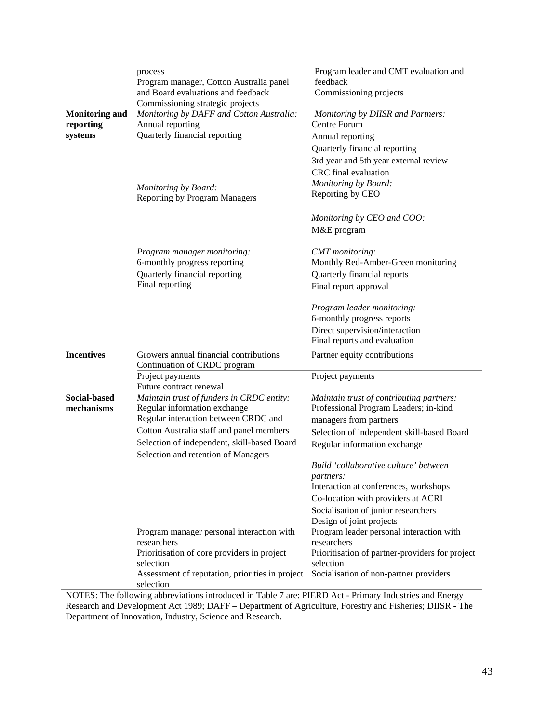|                       | process                                                  | Program leader and CMT evaluation and                   |
|-----------------------|----------------------------------------------------------|---------------------------------------------------------|
|                       | Program manager, Cotton Australia panel                  | feedback                                                |
|                       | and Board evaluations and feedback                       | Commissioning projects                                  |
|                       | Commissioning strategic projects                         |                                                         |
| <b>Monitoring and</b> | Monitoring by DAFF and Cotton Australia:                 | Monitoring by DIISR and Partners:                       |
| reporting             | Annual reporting                                         | Centre Forum                                            |
| systems               | Quarterly financial reporting                            | Annual reporting                                        |
|                       |                                                          | Quarterly financial reporting                           |
|                       |                                                          | 3rd year and 5th year external review                   |
|                       |                                                          | CRC final evaluation                                    |
|                       | Monitoring by Board:                                     | Monitoring by Board:                                    |
|                       | <b>Reporting by Program Managers</b>                     | Reporting by CEO                                        |
|                       |                                                          |                                                         |
|                       |                                                          | Monitoring by CEO and COO:                              |
|                       |                                                          | M&E program                                             |
|                       | Program manager monitoring:                              | CMT monitoring:                                         |
|                       | 6-monthly progress reporting                             | Monthly Red-Amber-Green monitoring                      |
|                       | Quarterly financial reporting                            | Quarterly financial reports                             |
|                       | Final reporting                                          | Final report approval                                   |
|                       |                                                          |                                                         |
|                       |                                                          | Program leader monitoring:                              |
|                       |                                                          | 6-monthly progress reports                              |
|                       |                                                          | Direct supervision/interaction                          |
|                       |                                                          | Final reports and evaluation                            |
| <b>Incentives</b>     | Growers annual financial contributions                   | Partner equity contributions                            |
|                       | Continuation of CRDC program<br>Project payments         | Project payments                                        |
|                       | Future contract renewal                                  |                                                         |
| <b>Social-based</b>   | Maintain trust of funders in CRDC entity:                | Maintain trust of contributing partners:                |
| mechanisms            | Regular information exchange                             | Professional Program Leaders; in-kind                   |
|                       | Regular interaction between CRDC and                     | managers from partners                                  |
|                       | Cotton Australia staff and panel members                 | Selection of independent skill-based Board              |
|                       | Selection of independent, skill-based Board              | Regular information exchange                            |
|                       | Selection and retention of Managers                      |                                                         |
|                       |                                                          | Build 'collaborative culture' between                   |
|                       |                                                          | partners:                                               |
|                       |                                                          | Interaction at conferences, workshops                   |
|                       |                                                          | Co-location with providers at ACRI                      |
|                       |                                                          | Socialisation of junior researchers                     |
|                       |                                                          | Design of joint projects                                |
|                       | Program manager personal interaction with<br>researchers | Program leader personal interaction with<br>researchers |
|                       | Prioritisation of core providers in project              | Prioritisation of partner-providers for project         |
|                       | selection                                                | selection                                               |
|                       | Assessment of reputation, prior ties in project          | Socialisation of non-partner providers                  |
|                       | selection                                                |                                                         |

NOTES: The following abbreviations introduced in Table 7 are: PIERD Act - Primary Industries and Energy Research and Development Act 1989; DAFF – Department of Agriculture, Forestry and Fisheries; DIISR - The Department of Innovation, Industry, Science and Research.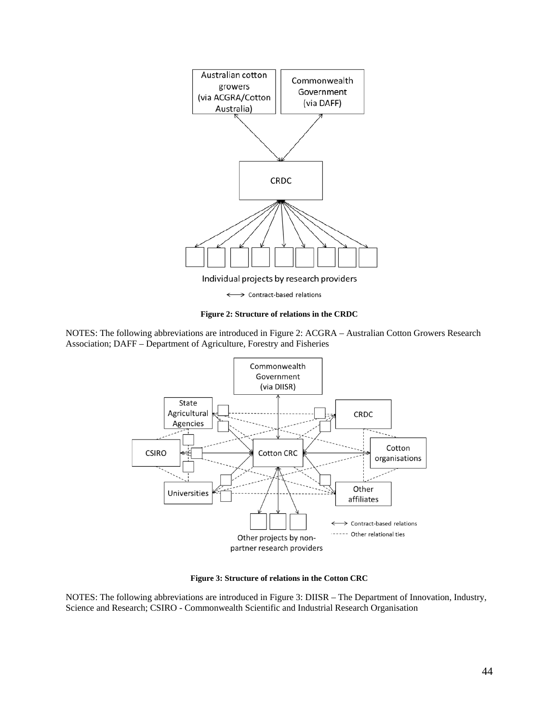

#### **Figure 2: Structure of relations in the CRDC**

NOTES: The following abbreviations are introduced in Figure 2: ACGRA – Australian Cotton Growers Research Association; DAFF – Department of Agriculture, Forestry and Fisheries



**Figure 3: Structure of relations in the Cotton CRC**

NOTES: The following abbreviations are introduced in Figure 3: DIISR – The Department of Innovation, Industry, Science and Research; CSIRO - Commonwealth Scientific and Industrial Research Organisation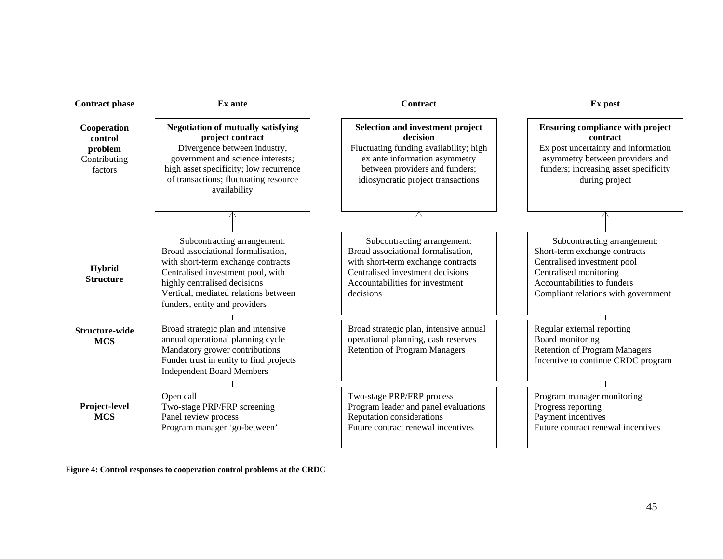| <b>Contract phase</b>                                        | Ex ante                                                                                                                                                                                                                                               | <b>Contract</b>                                                                                                                                                                                        | Ex post                                                                                                                                                                                     |  |
|--------------------------------------------------------------|-------------------------------------------------------------------------------------------------------------------------------------------------------------------------------------------------------------------------------------------------------|--------------------------------------------------------------------------------------------------------------------------------------------------------------------------------------------------------|---------------------------------------------------------------------------------------------------------------------------------------------------------------------------------------------|--|
| Cooperation<br>control<br>problem<br>Contributing<br>factors | <b>Negotiation of mutually satisfying</b><br>project contract<br>Divergence between industry,<br>government and science interests;<br>high asset specificity; low recurrence<br>of transactions; fluctuating resource<br>availability                 | <b>Selection and investment project</b><br>decision<br>Fluctuating funding availability; high<br>ex ante information asymmetry<br>between providers and funders;<br>idiosyncratic project transactions | <b>Ensuring compliance with project</b><br>contract<br>Ex post uncertainty and information<br>asymmetry between providers and<br>funders; increasing asset specificity<br>during project    |  |
|                                                              |                                                                                                                                                                                                                                                       |                                                                                                                                                                                                        |                                                                                                                                                                                             |  |
| Hybrid<br><b>Structure</b>                                   | Subcontracting arrangement:<br>Broad associational formalisation,<br>with short-term exchange contracts<br>Centralised investment pool, with<br>highly centralised decisions<br>Vertical, mediated relations between<br>funders, entity and providers | Subcontracting arrangement:<br>Broad associational formalisation,<br>with short-term exchange contracts<br>Centralised investment decisions<br>Accountabilities for investment<br>decisions            | Subcontracting arrangement:<br>Short-term exchange contracts<br>Centralised investment pool<br>Centralised monitoring<br>Accountabilities to funders<br>Compliant relations with government |  |
| Structure-wide<br><b>MCS</b>                                 | Broad strategic plan and intensive<br>annual operational planning cycle<br>Mandatory grower contributions<br>Funder trust in entity to find projects<br><b>Independent Board Members</b>                                                              | Broad strategic plan, intensive annual<br>operational planning, cash reserves<br><b>Retention of Program Managers</b>                                                                                  | Regular external reporting<br>Board monitoring<br><b>Retention of Program Managers</b><br>Incentive to continue CRDC program                                                                |  |
| Project-level<br><b>MCS</b>                                  | Open call<br>Two-stage PRP/FRP screening<br>Panel review process<br>Program manager 'go-between'                                                                                                                                                      | Two-stage PRP/FRP process<br>Program leader and panel evaluations<br>Reputation considerations<br>Future contract renewal incentives                                                                   | Program manager monitoring<br>Progress reporting<br>Payment incentives<br>Future contract renewal incentives                                                                                |  |

**Figure 4: Control responses to cooperation control problems at the CRDC**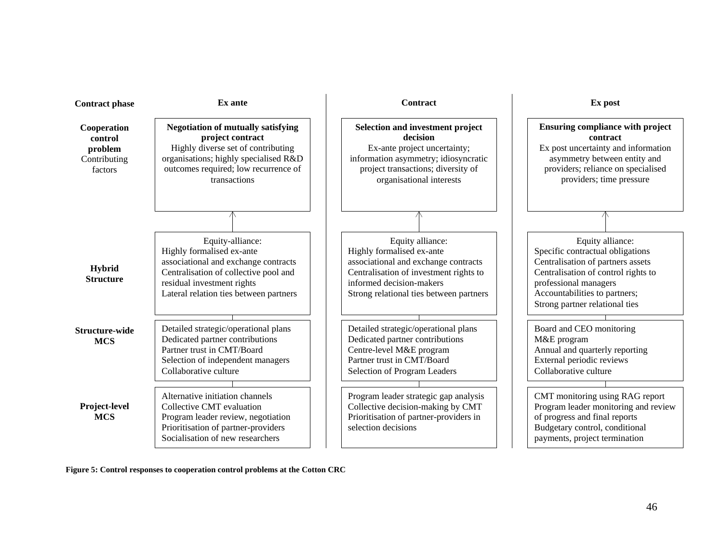| <b>Contract phase</b>                                        | Ex ante                                                                                                                                                                                                | <b>Contract</b>                                                                                                                                                                                        | Ex post                                                                                                                                                                                                                      |  |
|--------------------------------------------------------------|--------------------------------------------------------------------------------------------------------------------------------------------------------------------------------------------------------|--------------------------------------------------------------------------------------------------------------------------------------------------------------------------------------------------------|------------------------------------------------------------------------------------------------------------------------------------------------------------------------------------------------------------------------------|--|
| Cooperation<br>control<br>problem<br>Contributing<br>factors | <b>Negotiation of mutually satisfying</b><br>project contract<br>Highly diverse set of contributing<br>organisations; highly specialised R&D<br>outcomes required; low recurrence of<br>transactions   | Selection and investment project<br>decision<br>Ex-ante project uncertainty;<br>information asymmetry; idiosyncratic<br>project transactions; diversity of<br>organisational interests                 | <b>Ensuring compliance with project</b><br>contract<br>Ex post uncertainty and information<br>asymmetry between entity and<br>providers; reliance on specialised<br>providers; time pressure                                 |  |
|                                                              |                                                                                                                                                                                                        |                                                                                                                                                                                                        |                                                                                                                                                                                                                              |  |
| <b>Hybrid</b><br><b>Structure</b>                            | Equity-alliance:<br>Highly formalised ex-ante<br>associational and exchange contracts<br>Centralisation of collective pool and<br>residual investment rights<br>Lateral relation ties between partners | Equity alliance:<br>Highly formalised ex-ante<br>associational and exchange contracts<br>Centralisation of investment rights to<br>informed decision-makers<br>Strong relational ties between partners | Equity alliance:<br>Specific contractual obligations<br>Centralisation of partners assets<br>Centralisation of control rights to<br>professional managers<br>Accountabilities to partners;<br>Strong partner relational ties |  |
| Structure-wide<br><b>MCS</b>                                 | Detailed strategic/operational plans<br>Dedicated partner contributions<br>Partner trust in CMT/Board<br>Selection of independent managers<br>Collaborative culture                                    | Detailed strategic/operational plans<br>Dedicated partner contributions<br>Centre-level M&E program<br>Partner trust in CMT/Board<br>Selection of Program Leaders                                      | Board and CEO monitoring<br>M&E program<br>Annual and quarterly reporting<br>External periodic reviews<br>Collaborative culture                                                                                              |  |
| Project-level<br><b>MCS</b>                                  | Alternative initiation channels<br>Collective CMT evaluation<br>Program leader review, negotiation<br>Prioritisation of partner-providers<br>Socialisation of new researchers                          | Program leader strategic gap analysis<br>Collective decision-making by CMT<br>Prioritisation of partner-providers in<br>selection decisions                                                            | CMT monitoring using RAG report<br>Program leader monitoring and review<br>of progress and final reports<br>Budgetary control, conditional<br>payments, project termination                                                  |  |

**Figure 5: Control responses to cooperation control problems at the Cotton CRC**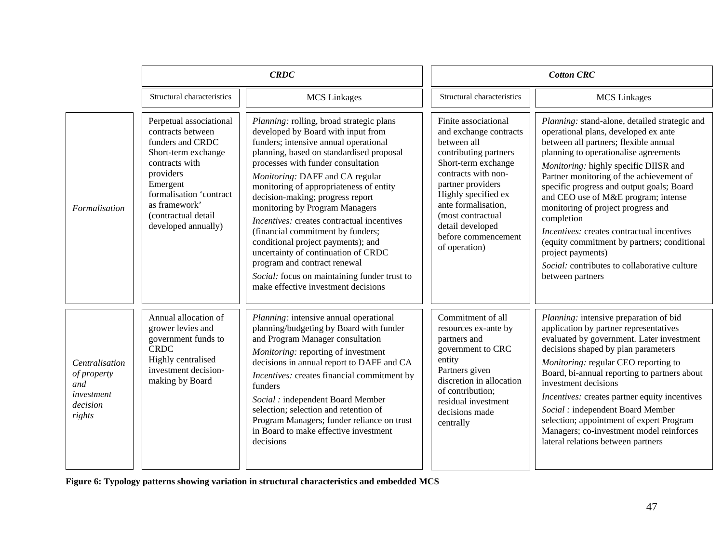|                                                                          | <b>CRDC</b>                                                                                                                                                                                                                  |                                                                                                                                                                                                                                                                                                                                                                                                                                                                                                                                                                                                                                                      | <b>Cotton CRC</b>                                                                                                                                                                                                                                                                        |                                                                                                                                                                                                                                                                                                                                                                                                                                                                                                                                                                                                   |
|--------------------------------------------------------------------------|------------------------------------------------------------------------------------------------------------------------------------------------------------------------------------------------------------------------------|------------------------------------------------------------------------------------------------------------------------------------------------------------------------------------------------------------------------------------------------------------------------------------------------------------------------------------------------------------------------------------------------------------------------------------------------------------------------------------------------------------------------------------------------------------------------------------------------------------------------------------------------------|------------------------------------------------------------------------------------------------------------------------------------------------------------------------------------------------------------------------------------------------------------------------------------------|---------------------------------------------------------------------------------------------------------------------------------------------------------------------------------------------------------------------------------------------------------------------------------------------------------------------------------------------------------------------------------------------------------------------------------------------------------------------------------------------------------------------------------------------------------------------------------------------------|
|                                                                          | Structural characteristics                                                                                                                                                                                                   | <b>MCS</b> Linkages                                                                                                                                                                                                                                                                                                                                                                                                                                                                                                                                                                                                                                  | Structural characteristics                                                                                                                                                                                                                                                               | <b>MCS</b> Linkages                                                                                                                                                                                                                                                                                                                                                                                                                                                                                                                                                                               |
| Formalisation                                                            | Perpetual associational<br>contracts between<br>funders and CRDC<br>Short-term exchange<br>contracts with<br>providers<br>Emergent<br>formalisation 'contract<br>as framework'<br>(contractual detail<br>developed annually) | Planning: rolling, broad strategic plans<br>developed by Board with input from<br>funders; intensive annual operational<br>planning, based on standardised proposal<br>processes with funder consultation<br>Monitoring: DAFF and CA regular<br>monitoring of appropriateness of entity<br>decision-making; progress report<br>monitoring by Program Managers<br>Incentives: creates contractual incentives<br>(financial commitment by funders;<br>conditional project payments); and<br>uncertainty of continuation of CRDC<br>program and contract renewal<br>Social: focus on maintaining funder trust to<br>make effective investment decisions | Finite associational<br>and exchange contracts<br>between all<br>contributing partners<br>Short-term exchange<br>contracts with non-<br>partner providers<br>Highly specified ex<br>ante formalisation,<br>(most contractual<br>detail developed<br>before commencement<br>of operation) | Planning: stand-alone, detailed strategic and<br>operational plans, developed ex ante<br>between all partners; flexible annual<br>planning to operationalise agreements<br>Monitoring: highly specific DIISR and<br>Partner monitoring of the achievement of<br>specific progress and output goals; Board<br>and CEO use of M&E program; intense<br>monitoring of project progress and<br>completion<br><i>Incentives:</i> creates contractual incentives<br>(equity commitment by partners; conditional<br>project payments)<br>Social: contributes to collaborative culture<br>between partners |
| Centralisation<br>of property<br>and<br>investment<br>decision<br>rights | Annual allocation of<br>grower levies and<br>government funds to<br><b>CRDC</b><br>Highly centralised<br>investment decision-<br>making by Board                                                                             | <i>Planning:</i> intensive annual operational<br>planning/budgeting by Board with funder<br>and Program Manager consultation<br>Monitoring: reporting of investment<br>decisions in annual report to DAFF and CA<br>Incentives: creates financial commitment by<br>funders<br>Social : independent Board Member<br>selection; selection and retention of<br>Program Managers; funder reliance on trust<br>in Board to make effective investment<br>decisions                                                                                                                                                                                         | Commitment of all<br>resources ex-ante by<br>partners and<br>government to CRC<br>entity<br>Partners given<br>discretion in allocation<br>of contribution;<br>residual investment<br>decisions made<br>centrally                                                                         | Planning: intensive preparation of bid<br>application by partner representatives<br>evaluated by government. Later investment<br>decisions shaped by plan parameters<br>Monitoring: regular CEO reporting to<br>Board, bi-annual reporting to partners about<br>investment decisions<br><i>Incentives:</i> creates partner equity incentives<br>Social : independent Board Member<br>selection; appointment of expert Program<br>Managers; co-investment model reinforces<br>lateral relations between partners                                                                                   |

**Figure 6: Typology patterns showing variation in structural characteristics and embedded MCS**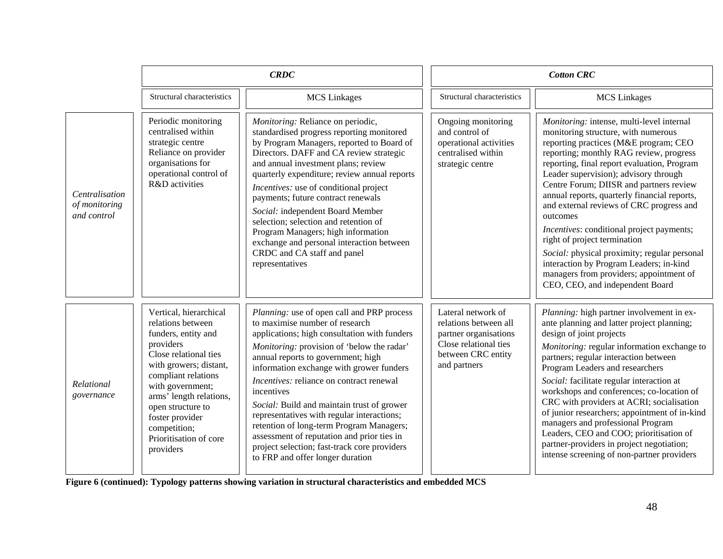|                                                | CRDC                                                                                                                                                                                                                                                                                                    |                                                                                                                                                                                                                                                                                                                                                                                                                                                                                                                                                                                                         | <b>Cotton CRC</b>                                                                                                                   |                                                                                                                                                                                                                                                                                                                                                                                                                                                                                                                                                                                                                                                                       |
|------------------------------------------------|---------------------------------------------------------------------------------------------------------------------------------------------------------------------------------------------------------------------------------------------------------------------------------------------------------|---------------------------------------------------------------------------------------------------------------------------------------------------------------------------------------------------------------------------------------------------------------------------------------------------------------------------------------------------------------------------------------------------------------------------------------------------------------------------------------------------------------------------------------------------------------------------------------------------------|-------------------------------------------------------------------------------------------------------------------------------------|-----------------------------------------------------------------------------------------------------------------------------------------------------------------------------------------------------------------------------------------------------------------------------------------------------------------------------------------------------------------------------------------------------------------------------------------------------------------------------------------------------------------------------------------------------------------------------------------------------------------------------------------------------------------------|
|                                                | Structural characteristics                                                                                                                                                                                                                                                                              | <b>MCS</b> Linkages                                                                                                                                                                                                                                                                                                                                                                                                                                                                                                                                                                                     | Structural characteristics                                                                                                          | <b>MCS</b> Linkages                                                                                                                                                                                                                                                                                                                                                                                                                                                                                                                                                                                                                                                   |
| Centralisation<br>of monitoring<br>and control | Periodic monitoring<br>centralised within<br>strategic centre<br>Reliance on provider<br>organisations for<br>operational control of<br>R&D activities                                                                                                                                                  | Monitoring: Reliance on periodic,<br>standardised progress reporting monitored<br>by Program Managers, reported to Board of<br>Directors. DAFF and CA review strategic<br>and annual investment plans; review<br>quarterly expenditure; review annual reports<br>Incentives: use of conditional project<br>payments; future contract renewals<br>Social: independent Board Member<br>selection; selection and retention of<br>Program Managers; high information<br>exchange and personal interaction between<br>CRDC and CA staff and panel<br>representatives                                         | Ongoing monitoring<br>and control of<br>operational activities<br>centralised within<br>strategic centre                            | Monitoring: intense, multi-level internal<br>monitoring structure, with numerous<br>reporting practices (M&E program; CEO<br>reporting; monthly RAG review, progress<br>reporting, final report evaluation, Program<br>Leader supervision); advisory through<br>Centre Forum; DIISR and partners review<br>annual reports, quarterly financial reports,<br>and external reviews of CRC progress and<br>outcomes<br>Incentives: conditional project payments;<br>right of project termination<br>Social: physical proximity; regular personal<br>interaction by Program Leaders; in-kind<br>managers from providers; appointment of<br>CEO, CEO, and independent Board |
| Relational<br>governance                       | Vertical, hierarchical<br>relations between<br>funders, entity and<br>providers<br>Close relational ties<br>with growers; distant,<br>compliant relations<br>with government;<br>arms' length relations,<br>open structure to<br>foster provider<br>competition;<br>Prioritisation of core<br>providers | Planning: use of open call and PRP process<br>to maximise number of research<br>applications; high consultation with funders<br><i>Monitoring:</i> provision of 'below the radar'<br>annual reports to government; high<br>information exchange with grower funders<br>Incentives: reliance on contract renewal<br>incentives<br>Social: Build and maintain trust of grower<br>representatives with regular interactions;<br>retention of long-term Program Managers;<br>assessment of reputation and prior ties in<br>project selection; fast-track core providers<br>to FRP and offer longer duration | Lateral network of<br>relations between all<br>partner organisations<br>Close relational ties<br>between CRC entity<br>and partners | Planning: high partner involvement in ex-<br>ante planning and latter project planning;<br>design of joint projects<br>Monitoring: regular information exchange to<br>partners; regular interaction between<br>Program Leaders and researchers<br>Social: facilitate regular interaction at<br>workshops and conferences; co-location of<br>CRC with providers at ACRI; socialisation<br>of junior researchers; appointment of in-kind<br>managers and professional Program<br>Leaders, CEO and COO; prioritisation of<br>partner-providers in project negotiation;<br>intense screening of non-partner providers                                                     |

**Figure 6 (continued): Typology patterns showing variation in structural characteristics and embedded MCS**